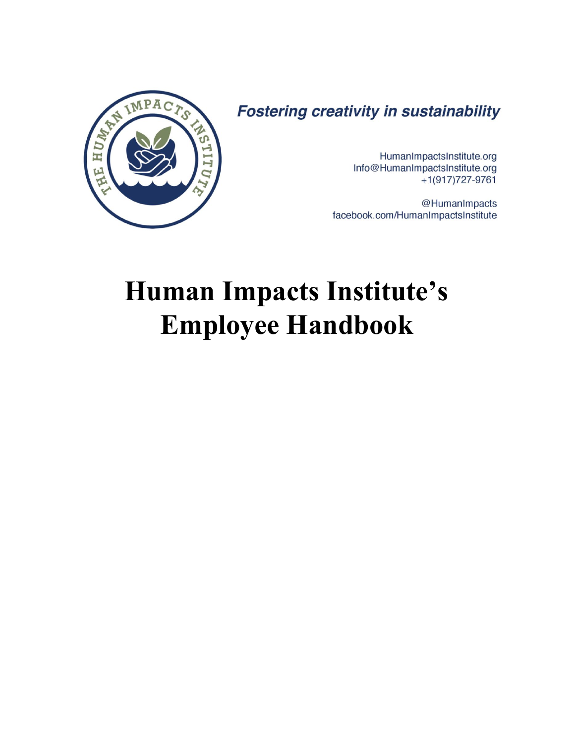

**Fostering creativity in sustainability** 

HumanImpactsInstitute.org Info@HumanImpactsInstitute.org  $+1(917)727-9761$ 

@HumanImpacts facebook.com/HumanImpactsInstitute

# **Human Impacts Institute's Employee Handbook**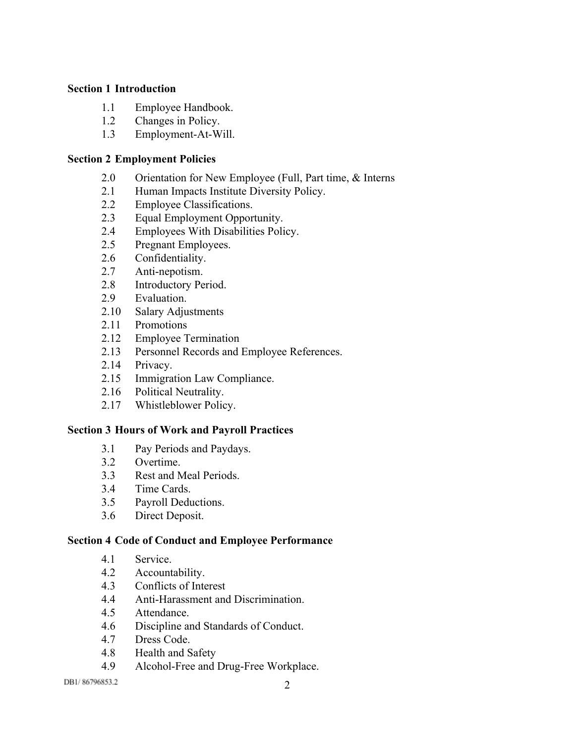### **[Section](#page-5-0) 1 [Introduction](#page-5-0)**

- [1.1](#page-5-1) Employee [Handbook.](#page-5-1)
- [1.2](#page-5-2) [Changes](#page-5-2) in Policy.
- [1.3](#page-5-3) Employment-At-Will.

## **[Section](#page-6-0) 2 [Employment](#page-6-0) Policies**

- [2.0](#page-6-1) [Orientation](#page-6-1) for New Employee (Full, Part time, & Interns
- [2.1](#page-6-2) Human Impacts Institute [Diversity](#page-6-2) Policy.
- [2.2](#page-6-3) Employee [Classifications.](#page-6-3)
- [2.3](#page-8-0) Equal [Employment](#page-8-0) Opportunity.
- [2.4](#page-8-1) Employees With [Disabilities](#page-8-1) Policy.
- [2.5](#page-9-0) Pregnant [Employees.](#page-9-0)
- [2.6](#page-9-1) [Confidentiality.](#page-9-1)
- [2.7](#page-9-2) Anti-nepotism.
- [2.8](#page-10-0) [Introductory](#page-10-0) Period.
- [2.9](#page-10-1) [Evaluation.](#page-10-1)
- [2.10](#page-11-0) Salary [Adjustments](#page-11-0)
- [2.11](#page-11-1) [Promotions](#page-11-1)
- [2.12](#page-11-2) Employee [Termination](#page-11-2)
- [2.13](#page-13-0) Personnel Records and Employee [References.](#page-13-0)
- [2.14](#page-13-1) [Privacy.](#page-13-1)
- [2.15](#page-14-0) Immigration Law [Compliance.](#page-14-0)
- [2.16](#page-14-1) Political [Neutrality.](#page-14-1)
- [2.17](#page-14-2) [Whistleblower](#page-14-2) Policy.

## **[Section](#page-16-0) 3 Hours of Work and Payroll [Practices](#page-16-0)**

- [3.1](#page-16-1) Pay Periods and [Paydays.](#page-16-1)
- [3.2](#page-16-2) [Overtime.](#page-16-2)
- [3.3](#page-16-3) Rest and Meal [Periods.](#page-16-3)
- [3.4](#page-16-4) Time [Cards.](#page-16-4)
- [3.5](#page-17-0) Payroll [Deductions.](#page-17-0)
- [3.6](#page-17-1) Direct [Deposit.](#page-17-1)

## **[Section](#page-17-2) 4 Code of Conduct and Employee [Performance](#page-17-2)**

- [4.1](#page-17-3) [Service.](#page-17-3)
- [4.2](#page-18-0) [Accountability.](#page-18-0)
- [4.3](#page-18-1) [Conflicts](#page-18-1) of Interest
- [4.4](#page-19-0) Anti-Harassment and Discrimination.
- [4.5](#page-20-0) [Attendance.](#page-20-0)
- [4.6](#page-21-0) [Discipline](#page-21-0) and Standards of Conduct.
- [4.7](#page-23-0) Dress [Code.](#page-23-0)
- [4.8](#page-23-1) [Health](#page-23-1) and Safety
- [4.9](#page-24-0) Alcohol-Free and Drug-Free Workplace.

DB1/86796853.2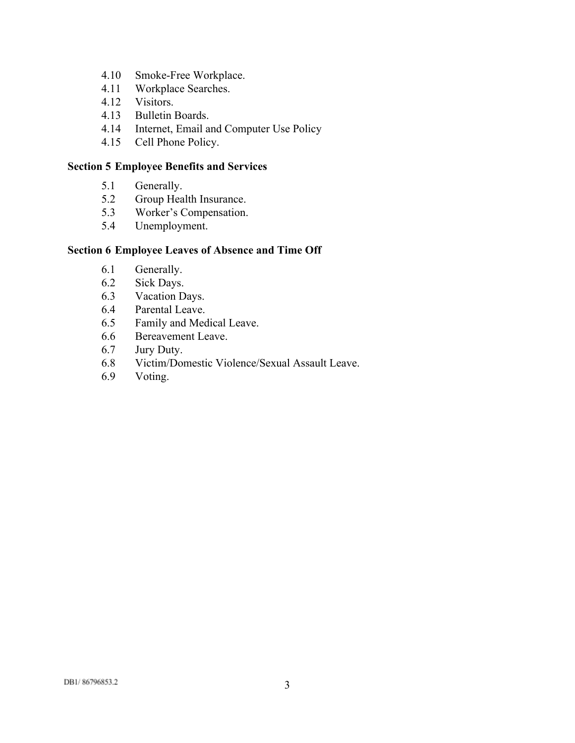- [4.10](#page-24-1) Smoke-Free Workplace.
- [4.11](#page-24-2) [Workplace](#page-24-2) Searches.
- [4.12](#page-25-0) [Visitors.](#page-25-0)
- [4.13](#page-25-1) [Bulletin](#page-25-1) Boards.
- [4.14](#page-25-2) Internet, Email and [Computer](#page-25-2) Use Policy
- [4.15](#page-28-0) Cell Phone [Policy.](#page-28-0)

## **[Section](#page-29-0) 5 [Employee](#page-29-0) Benefits and Services**

- [5.1](#page-29-1) [Generally.](#page-29-1)
- [5.2](#page-29-2) Group Health [Insurance.](#page-29-2)
- [5.3](#page-29-3) Worker's [Compensation.](#page-29-3)
- [5.4](#page-30-0) [Unemployment.](#page-30-0)

## **[Section](#page-30-1) 6 [Employee](#page-30-1) Leaves of Absence and Time Off**

- [6.1](#page-30-2) [Generally.](#page-30-2)
- [6.2](#page-30-3) Sick [Days.](#page-30-3)
- [6.3](#page-31-0) [Vacation](#page-31-0) Days.
- [6.4](#page-31-1) [Parental](#page-31-1) Leave.
- [6.5](#page-32-0) Family and [Medical](#page-32-0) Leave.
- [6.6](#page-32-1) [Bereavement](#page-32-1) Leave.
- [6.7](#page-32-2) Jury [Duty.](#page-32-2)
- [6.8](#page-32-3) [Victim/Domestic](#page-32-3) Violence/Sexual Assault Leave.
- [6.9](#page-32-4) [Voting.](#page-32-4)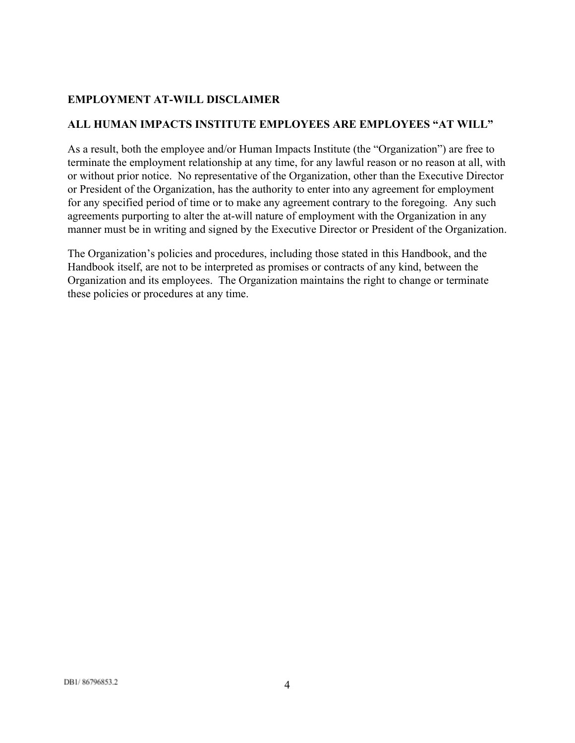# **EMPLOYMENT AT-WILL DISCLAIMER**

## **ALL HUMAN IMPACTS INSTITUTE EMPLOYEES ARE EMPLOYEES "AT WILL"**

As a result, both the employee and/or Human Impacts Institute (the "Organization") are free to terminate the employment relationship at any time, for any lawful reason or no reason at all, with or without prior notice. No representative of the Organization, other than the Executive Director or President of the Organization, has the authority to enter into any agreement for employment for any specified period of time or to make any agreement contrary to the foregoing. Any such agreements purporting to alter the at-will nature of employment with the Organization in any manner must be in writing and signed by the Executive Director or President of the Organization.

The Organization's policies and procedures, including those stated in this Handbook, and the Handbook itself, are not to be interpreted as promises or contracts of any kind, between the Organization and its employees. The Organization maintains the right to change or terminate these policies or procedures at any time.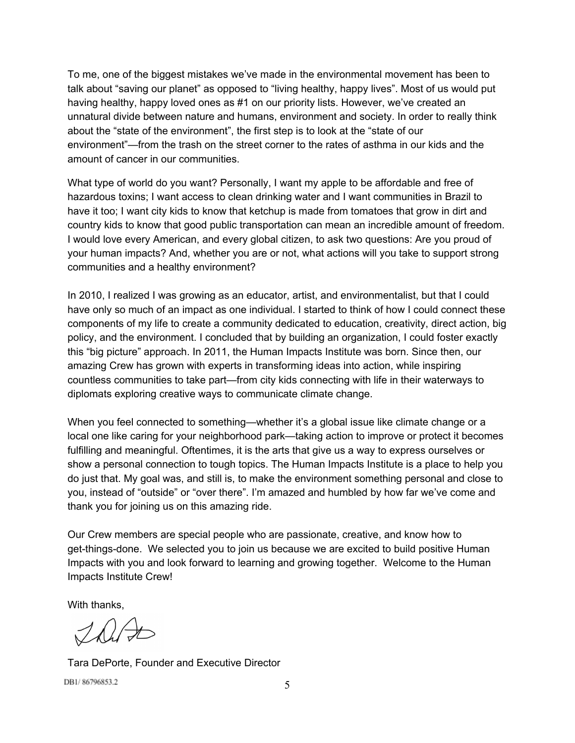To me, one of the biggest mistakes we've made in the environmental movement has been to talk about "saving our planet" as opposed to "living healthy, happy lives". Most of us would put having healthy, happy loved ones as #1 on our priority lists. However, we've created an unnatural divide between nature and humans, environment and society. In order to really think about the "state of the environment", the first step is to look at the "state of our environment"—from the trash on the street corner to the rates of asthma in our kids and the amount of cancer in our communities.

What type of world do you want? Personally, I want my apple to be affordable and free of hazardous toxins; I want access to clean drinking water and I want communities in Brazil to have it too; I want city kids to know that ketchup is made from tomatoes that grow in dirt and country kids to know that good public transportation can mean an incredible amount of freedom. I would love every American, and every global citizen, to ask two questions: Are you proud of your human impacts? And, whether you are or not, what actions will you take to support strong communities and a healthy environment?

In 2010, I realized I was growing as an educator, artist, and environmentalist, but that I could have only so much of an impact as one individual. I started to think of how I could connect these components of my life to create a community dedicated to education, creativity, direct action, big policy, and the environment. I concluded that by building an organization, I could foster exactly this "big picture" approach. In 2011, the Human Impacts Institute was born. Since then, our amazing Crew has grown with experts in transforming ideas into action, while inspiring countless communities to take part—from city kids connecting with life in their waterways to diplomats exploring creative ways to communicate climate change.

When you feel connected to something—whether it's a global issue like climate change or a local one like caring for your neighborhood park—taking action to improve or protect it becomes fulfilling and meaningful. Oftentimes, it is the arts that give us a way to express ourselves or show a personal connection to tough topics. The Human Impacts Institute is a place to help you do just that. My goal was, and still is, to make the environment something personal and close to you, instead of "outside" or "over there". I'm amazed and humbled by how far we've come and thank you for joining us on this amazing ride.

Our Crew members are special people who are passionate, creative, and know how to get-things-done. We selected you to join us because we are excited to build positive Human Impacts with you and look forward to learning and growing together. Welcome to the Human Impacts Institute Crew!

With thanks,

This

Tara DePorte, Founder and Executive Director DB1/86796853.2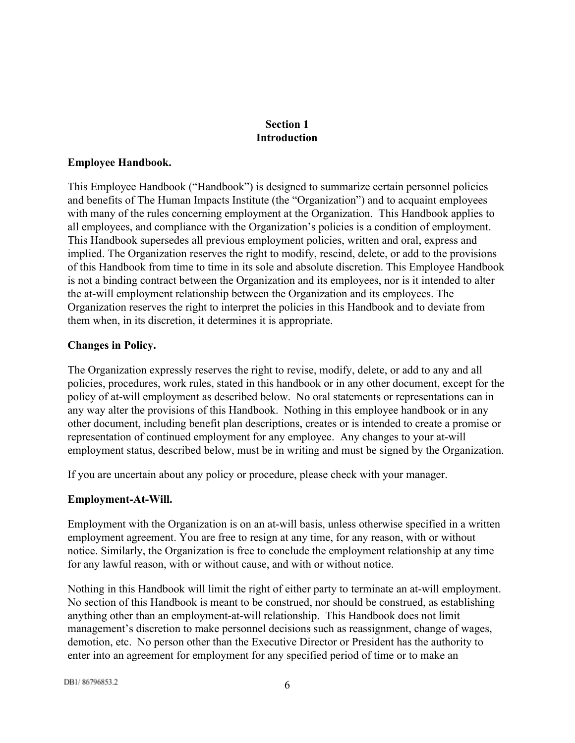# **Section 1 Introduction**

## <span id="page-5-1"></span><span id="page-5-0"></span>**Employee Handbook.**

This Employee Handbook ("Handbook") is designed to summarize certain personnel policies and benefits of The Human Impacts Institute (the "Organization") and to acquaint employees with many of the rules concerning employment at the Organization. This Handbook applies to all employees, and compliance with the Organization's policies is a condition of employment. This Handbook supersedes all previous employment policies, written and oral, express and implied. The Organization reserves the right to modify, rescind, delete, or add to the provisions of this Handbook from time to time in its sole and absolute discretion. This Employee Handbook is not a binding contract between the Organization and its employees, nor is it intended to alter the at-will employment relationship between the Organization and its employees. The Organization reserves the right to interpret the policies in this Handbook and to deviate from them when, in its discretion, it determines it is appropriate.

## <span id="page-5-2"></span>**Changes in Policy.**

The Organization expressly reserves the right to revise, modify, delete, or add to any and all policies, procedures, work rules, stated in this handbook or in any other document, except for the policy of at-will employment as described below. No oral statements or representations can in any way alter the provisions of this Handbook. Nothing in this employee handbook or in any other document, including benefit plan descriptions, creates or is intended to create a promise or representation of continued employment for any employee. Any changes to your at-will employment status, described below, must be in writing and must be signed by the Organization.

If you are uncertain about any policy or procedure, please check with your manager.

# <span id="page-5-3"></span>**Employment-At-Will.**

Employment with the Organization is on an atwill basis, unless otherwise specified in a written employment agreement. You are free to resign at any time, for any reason, with or without notice. Similarly, the Organization is free to conclude the employment relationship at any time for any lawful reason, with or without cause, and with or without notice.

Nothing in this Handbook will limit the right of either party to terminate an atwill employment. No section of this Handbook is meant to be construed, nor should be construed, as establishing anything other than an employment-at-will relationship. This Handbook does not limit management's discretion to make personnel decisions such as reassignment, change of wages, demotion, etc. No person other than the Executive Director or President has the authority to enter into an agreement for employment for any specified period of time or to make an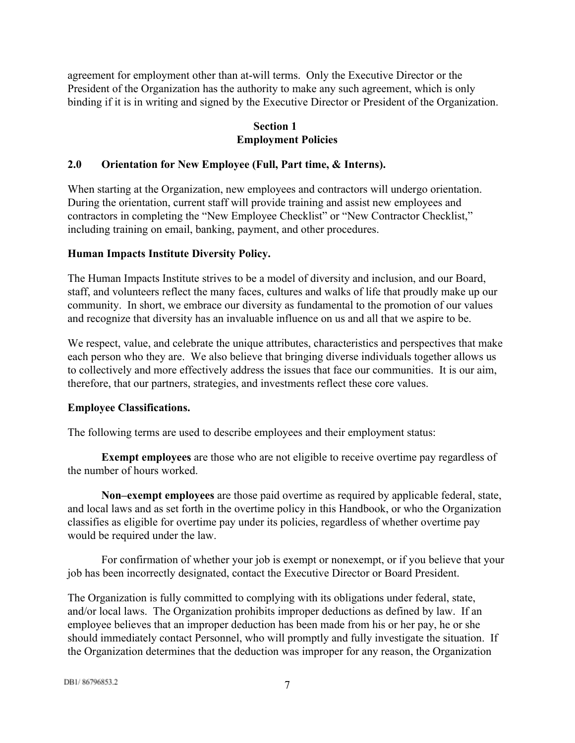agreement for employment other than atwill terms. Only the Executive Director or the President of the Organization has the authority to make any such agreement, which is only binding if it is in writing and signed by the Executive Director or President of the Organization.

# **Section 1 Employment Policies**

## <span id="page-6-1"></span><span id="page-6-0"></span>**2.0 Orientation for New Employee (Full, Part time, & Interns).**

When starting at the Organization, new employees and contractors will undergo orientation. During the orientation, current staff will provide training and assist new employees and contractors in completing the "New Employee Checklist" or "New Contractor Checklist," including training on email, banking, payment, and other procedures.

## <span id="page-6-2"></span>**Human Impacts Institute Diversity Policy.**

The Human Impacts Institute strives to be a model of diversity and inclusion, and our Board, staff, and volunteers reflect the many faces, cultures and walks of life that proudly make up our community. In short, we embrace our diversity as fundamental to the promotion of our values and recognize that diversity has an invaluable influence on us and all that we aspire to be.

We respect, value, and celebrate the unique attributes, characteristics and perspectives that make each person who they are. We also believe that bringing diverse individuals together allows us to collectively and more effectively address the issues that face our communities. It is our aim, therefore, that our partners, strategies, and investments reflect these core values.

#### <span id="page-6-3"></span>**Employee Classifications.**

The following terms are used to describe employees and their employment status:

**Exempt employees**are those who are not eligible to receive overtime pay regardless of the number of hours worked.

**Non–exempt employees**are those paid overtime as required by applicable federal, state, and local laws and as set forth in the overtime policy in this Handbook, or who the Organization classifies as eligible for overtime pay under its policies, regardless of whether overtime pay would be required under the law.

For confirmation of whether your job is exempt or nonexempt, or if you believe that your job has been incorrectly designated, contact the Executive Director or Board President.

The Organization is fully committed to complying with its obligations under federal, state, and/or local laws. The Organization prohibits improper deductions as defined by law. If an employee believes that an improper deduction has been made from his or her pay, he or she should immediately contact Personnel, who will promptly and fully investigate the situation. If the Organization determines that the deduction was improper for any reason, the Organization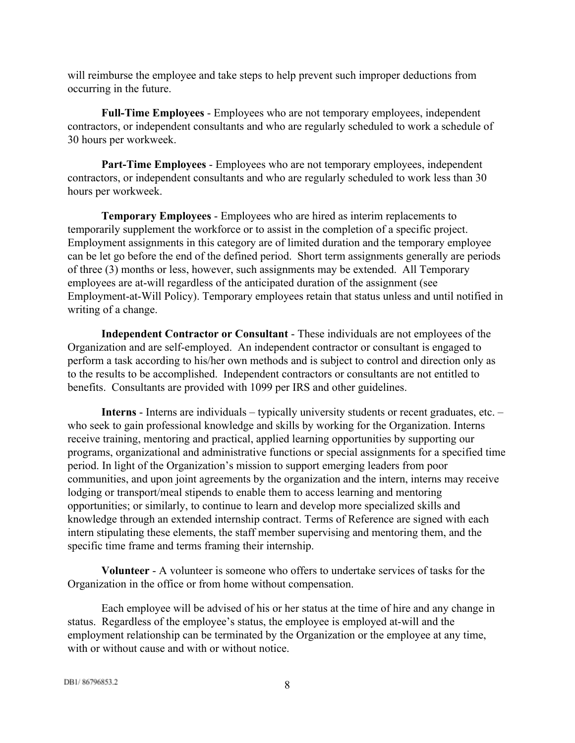will reimburse the employee and take steps to help prevent such improper deductions from occurring in the future.

**Full-Time Employees** - Employees who are not temporary employees, independent contractors, or independent consultants and who are regularly scheduled to work a schedule of 30 hours per workweek.

**Part-Time Employees** - Employees who are not temporary employees, independent contractors, or independent consultants and who are regularly scheduled to work less than 30 hours per workweek.

**Temporary Employees** - Employees who are hired as interim replacements to temporarily supplement the workforce or to assist in the completion of a specific project. Employment assignments in this category are of limited duration and the temporary employee can be let go before the end of the defined period. Short term assignments generally are periods of three (3) months or less, however, such assignments may be extended. All Temporary employees are at-will regardless of the anticipated duration of the assignment (see Employment-at-Will Policy). Temporary employees retain that status unless and until notified in writing of a change.

**Independent Contractor or Consultant** - These individuals are not employees of the Organization and are self-employed. An independent contractor or consultant is engaged to perform a task according to his/her own methods and is subject to control and direction only as to the results to be accomplished. Independent contractors or consultants are not entitled to benefits. Consultants are provided with 1099 per IRS and other guidelines.

**Interns** - Interns are individuals – typically university students or recent graduates, etc. – who seek to gain professional knowledge and skills by working for the Organization. Interns receive training, mentoring and practical, applied learning opportunities by supporting our programs, organizational and administrative functions or special assignments for a specified time period. In light of the Organization's mission to support emerging leaders from poor communities, and upon joint agreements by the organization and the intern, interns may receive lodging or transport/meal stipends to enable them to access learning and mentoring opportunities; or similarly, to continue to learn and develop more specialized skills and knowledge through an extended internship contract. Terms of Reference are signed with each intern stipulating these elements, the staff member supervising and mentoring them, and the specific time frame and terms framing their internship.

**Volunteer** - A volunteer is someone who offers to undertake services of tasks for the Organization in the office or from home without compensation.

Each employee will be advised of his or her status at the time of hire and any change in status. Regardless of the employee's status, the employee is employed at-will and the employment relationship can be terminated by the Organization or the employee at any time, with or without cause and with or without notice.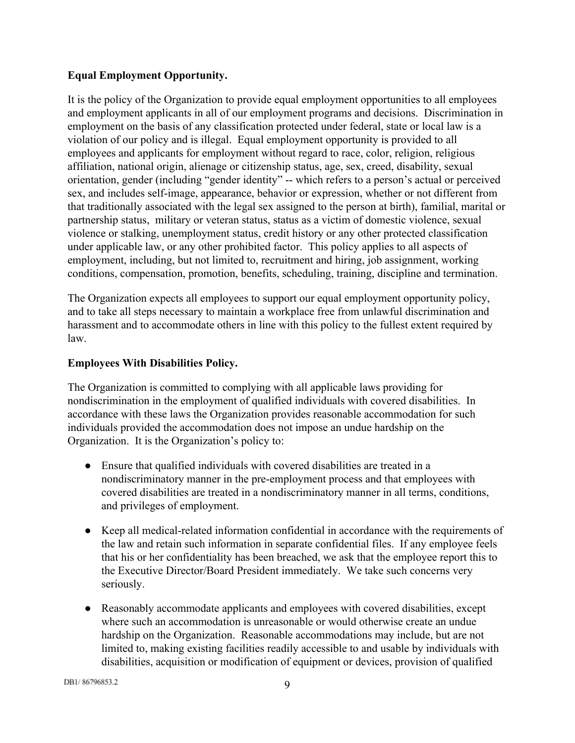# <span id="page-8-0"></span>**Equal Employment Opportunity.**

It is the policy of the Organization to provide equal employment opportunities to all employees and employment applicants in all of our employment programs and decisions. Discrimination in employment on the basis of any classification protected under federal, state or local law is a violation of our policy and is illegal. Equal employment opportunity is provided to all employees and applicants for employment without regard to race, color, religion, religious affiliation, national origin, alienage or citizenship status, age, sex, creed, disability, sexual orientation, gender (including "gender identity" -- which refers to a person's actual or perceived sex, and includes self-image, appearance, behavior or expression, whether or not different from that traditionally associated with the legal sex assigned to the person at birth), familial, marital or partnership status, military or veteran status, status as a victim of domestic violence, sexual violence or stalking, unemployment status, credit history or any other protected classification under applicable law, or any other prohibited factor. This policy applies to all aspects of employment, including, but not limited to, recruitment and hiring, job assignment, working conditions, compensation, promotion, benefits, scheduling, training, discipline and termination.

The Organization expects all employees to support our equal employment opportunity policy, and to take all steps necessary to maintain a workplace free from unlawful discrimination and harassment and to accommodate others in line with this policy to the fullest extent required by law.

# <span id="page-8-1"></span>**Employees With Disabilities Policy.**

The Organization is committed to complying with all applicable laws providing for nondiscrimination in the employment of qualified individuals with covered disabilities. In accordance with these laws the Organization provides reasonable accommodation for such individuals provided the accommodation does not impose an undue hardship on the Organization. It is the Organization's policy to:

- Ensure that qualified individuals with covered disabilities are treated in a nondiscriminatory manner in the pre-employment process and that employees with covered disabilities are treated in a nondiscriminatory manner in all terms, conditions, and privileges of employment.
- Keep all medical-related information confidential in accordance with the requirements of the law and retain such information in separate confidential files. If any employee feels that his or her confidentiality has been breached, we ask that the employee report this to the Executive Director/Board President immediately. We take such concerns very seriously.
- Reasonably accommodate applicants and employees with covered disabilities, except where such an accommodation is unreasonable or would otherwise create an undue hardship on the Organization. Reasonable accommodations may include, but are not limited to, making existing facilities readily accessible to and usable by individuals with disabilities, acquisition or modification of equipment or devices, provision of qualified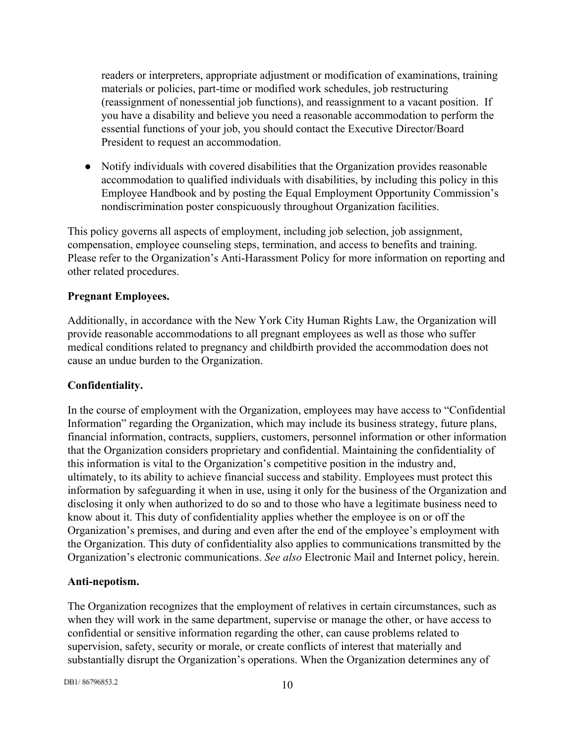readers or interpreters, appropriate adjustment or modification of examinations, training materials or policies, part-time or modified work schedules, job restructuring (reassignment of nonessential job functions), and reassignment to a vacant position. If you have a disability and believe you need a reasonable accommodation to perform the essential functions of your job, you should contact the Executive Director/Board President to request an accommodation.

● Notify individuals with covered disabilities that the Organization provides reasonable accommodation to qualified individuals with disabilities, by including this policy in this Employee Handbook and by posting the Equal Employment Opportunity Commission's nondiscrimination poster conspicuously throughout Organization facilities.

This policy governs all aspects of employment, including job selection, job assignment, compensation, employee counseling steps, termination, and access to benefits and training. Please refer to the Organization's Anti-Harassment Policy for more information on reporting and other related procedures.

## <span id="page-9-0"></span>**Pregnant Employees.**

Additionally, in accordance with the New York City Human Rights Law, the Organization will provide reasonable accommodations to all pregnant employees as well as those who suffer medical conditions related to pregnancy and childbirth provided the accommodation does not cause an undue burden to the Organization.

## <span id="page-9-1"></span>**Confidentiality.**

In the course of employment with the Organization, employees may have access to "Confidential Information" regarding the Organization, which may include its business strategy, future plans, financial information, contracts, suppliers, customers, personnel information or other information that the Organization considers proprietary and confidential. Maintaining the confidentiality of this information is vital to the Organization's competitive position in the industry and, ultimately, to its ability to achieve financial success and stability. Employees must protect this information by safeguarding it when in use, using it only for the business of the Organization and disclosing it only when authorized to do so and to those who have a legitimate business need to know about it. This duty of confidentiality applies whether the employee is on or off the Organization's premises, and during and even after the end of the employee's employment with the Organization. This duty of confidentiality also applies to communications transmitted by the Organization's electronic communications. *See also* Electronic Mail and Internet policy, herein.

## <span id="page-9-2"></span>Anti-nepotism.

The Organization recognizes that the employment of relatives in certain circumstances, such as when they will work in the same department, supervise or manage the other, or have access to confidential or sensitive information regarding the other, can cause problems related to supervision, safety, security or morale, or create conflicts of interest that materially and substantially disrupt the Organization's operations. When the Organization determines any of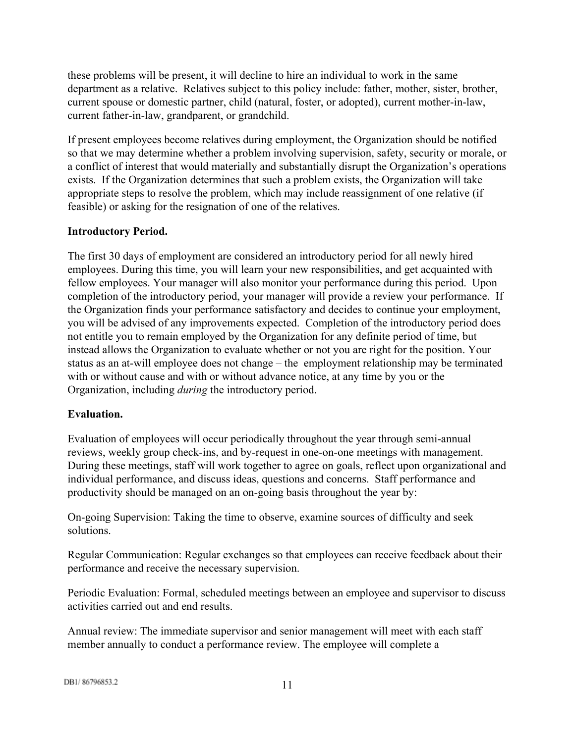these problems will be present, it will decline to hire an individual to work in the same department as a relative. Relatives subject to this policy include: father, mother, sister, brother, current spouse or domestic partner, child (natural, foster, or adopted), current mother-in-law, current father-in-law, grandparent, or grandchild.

If present employees become relatives during employment, the Organization should be notified so that we may determine whether a problem involving supervision, safety, security or morale, or a conflict of interest that would materially and substantially disrupt the Organization's operations exists. If the Organization determines that such a problem exists, the Organization will take appropriate steps to resolve the problem, which may include reassignment of one relative (if feasible) or asking for the resignation of one of the relatives.

# <span id="page-10-0"></span>**Introductory Period.**

The first 30 days of employment are considered an introductory period for all newly hired employees. During this time, you will learn your new responsibilities, and get acquainted with fellow employees. Your manager will also monitor your performance during this period. Upon completion of the introductory period, your manager will provide a review your performance. If the Organization finds your performance satisfactory and decides to continue your employment, you will be advised of any improvements expected. Completion of the introductory period does not entitle you to remain employed by the Organization for any definite period of time, but instead allows the Organization to evaluate whether or not you are right for the position. Your status as an at-will employee does not change – the employment relationship may be terminated with or without cause and with or without advance notice, at any time by you or the Organization, including *during* the introductory period.

## <span id="page-10-1"></span>**Evaluation.**

Evaluation of employees will occur periodically throughout the year through semi-annual reviews, weekly group check-ins, and by-request in one-on-one meetings with management. During these meetings, staff will work together to agree on goals, reflect upon organizational and individual performance, and discuss ideas, questions and concerns. Staff performance and productivity should be managed on an on-going basis throughout the year by:

On-going Supervision: Taking the time to observe, examine sources of difficulty and seek solutions.

Regular Communication: Regular exchanges so that employees can receive feedback about their performance and receive the necessary supervision.

Periodic Evaluation: Formal, scheduled meetings between an employee and supervisor to discuss activities carried out and end results.

Annual review: The immediate supervisor and senior management will meet with each staff member annually to conduct a performance review. The employee will complete a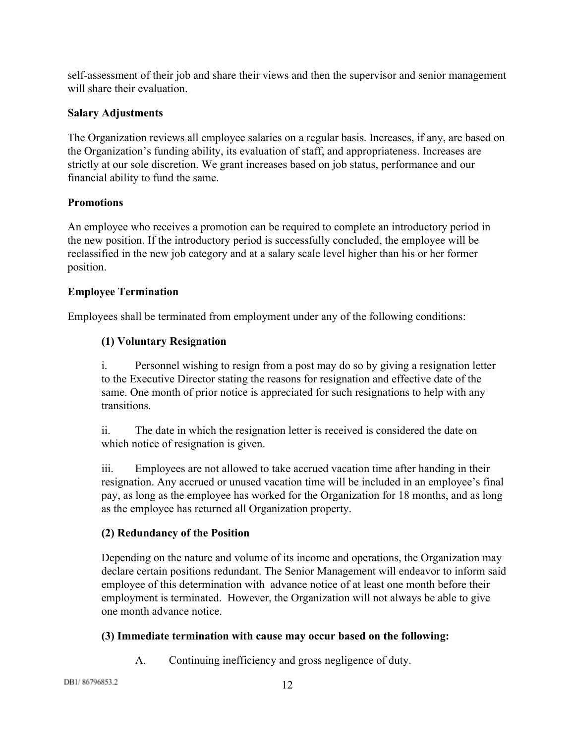self-assessment of their job and share their views and then the supervisor and senior management will share their evaluation.

# <span id="page-11-0"></span>**Salary Adjustments**

The Organization reviews all employee salaries on a regular basis. Increases, if any, are based on the Organization's funding ability, its evaluation of staff, and appropriateness. Increases are strictly at our sole discretion. We grant increases based on job status, performance and our financial ability to fund the same.

# <span id="page-11-1"></span>**Promotions**

An employee who receives a promotion can be required to complete an introductory period in the new position. If the introductory period is successfully concluded, the employee will be reclassified in the new job category and at a salary scale level higher than his or her former position.

# <span id="page-11-2"></span>**Employee Termination**

Employees shall be terminated from employment under any of the following conditions:

# **(1) Voluntary Resignation**

i. Personnel wishing to resign from a post may do so by giving a resignation letter to the Executive Director stating the reasons for resignation and effective date of the same. One month of prior notice is appreciated for such resignations to help with any transitions.

ii. The date in which the resignation letter is received is considered the date on which notice of resignation is given.

iii. Employees are not allowed to take accrued vacation time after handing in their resignation. Any accrued or unused vacation time will be included in an employee's final pay, as long as the employee has worked for the Organization for 18 months, and as long as the employee has returned all Organization property.

# **(2) Redundancy of the Position**

Depending on the nature and volume of its income and operations, the Organization may declare certain positions redundant. The Senior Management will endeavor to inform said employee of this determination with advance notice of at least one month before their employment is terminated. However, the Organization will not always be able to give one month advance notice.

# **(3) Immediate termination with cause may occur based on the following:**

A. Continuing inefficiency and gross negligence of duty.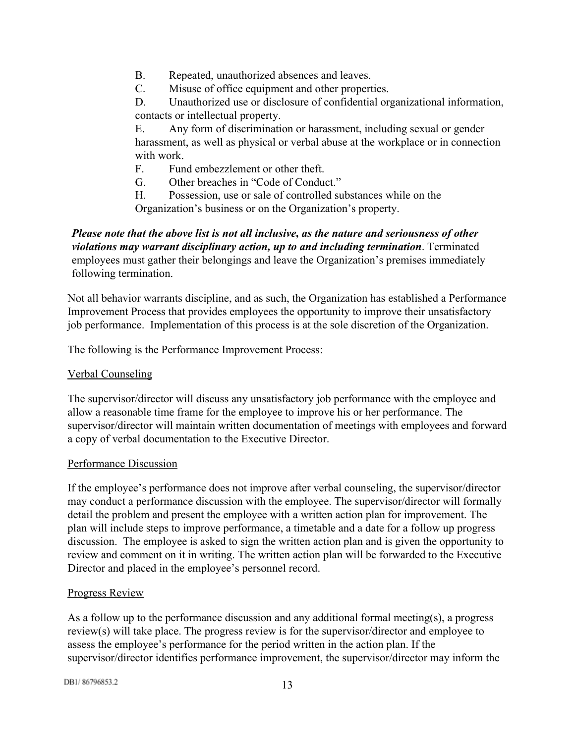- B. Repeated, unauthorized absences and leaves.
- C. Misuse of office equipment and other properties.
- D. Unauthorized use or disclosure of confidential organizational information, contacts or intellectual property.

E. Any form of discrimination or harassment, including sexual or gender harassment, as well as physical or verbal abuse at the workplace or in connection with work.

- F. Fund embezzlement or other theft.
- G. Other breaches in "Code of Conduct."
- H. Possession, use or sale of controlled substances while on the Organization's business or on the Organization's property.

*Please note that the above list is not all inclusive, as the nature and seriousness of other violations may warrant disciplinary action, up to and including termination*. Terminated employees must gather their belongings and leave the Organization's premises immediately following termination.

Not all behavior warrants discipline, and as such, the Organization has established a Performance Improvement Process that provides employees the opportunity to improve their unsatisfactory job performance. Implementation of this process is at the sole discretion of the Organization.

The following is the Performance Improvement Process:

## Verbal Counseling

The supervisor/director will discuss any unsatisfactory job performance with the employee and allow a reasonable time frame for the employee to improve his or her performance. The supervisor/director will maintain written documentation of meetings with employees and forward a copy of verbal documentation to the Executive Director.

## Performance Discussion

If the employee's performance does not improve after verbal counseling, the supervisor/director may conduct a performance discussion with the employee. The supervisor/director will formally detail the problem and present the employee with a written action plan for improvement. The plan will include steps to improve performance, a timetable and a date for a follow up progress discussion. The employee is asked to sign the written action plan and is given the opportunity to review and comment on it in writing. The written action plan will be forwarded to the Executive Director and placed in the employee's personnel record.

## Progress Review

As a follow up to the performance discussion and any additional formal meeting(s), a progress review(s) will take place. The progress review is for the supervisor/director and employee to assess the employee's performance for the period written in the action plan. If the supervisor/director identifies performance improvement, the supervisor/director may inform the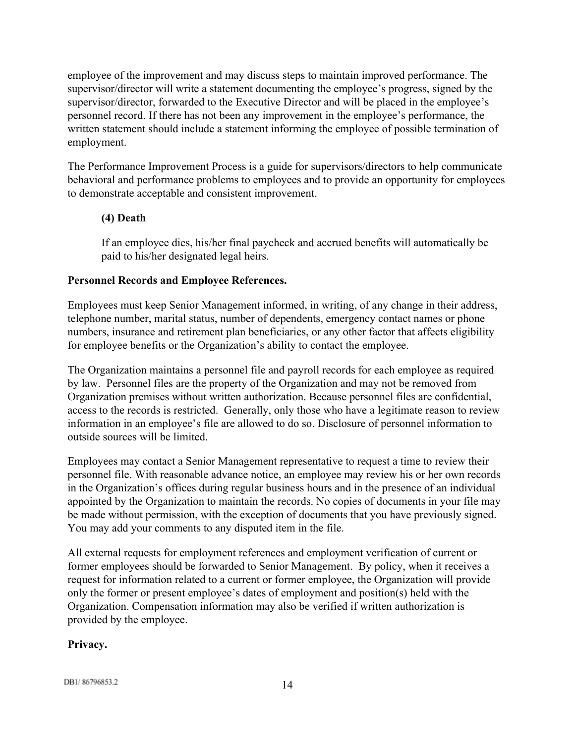employee of the improvement and may discuss steps to maintain improved performance. The supervisor/director will write a statement documenting the employee's progress, signed by the supervisor/director, forwarded to the Executive Director and will be placed in the employee's personnel record. If there has not been any improvement in the employee's performance, the written statement should include a statement informing the employee of possible termination of employment.

The Performance Improvement Process is a guide for supervisors/directors to help communicate behavioral and performance problems to employees and to provide an opportunity for employees to demonstrate acceptable and consistent improvement.

# **(4) Death**

If an employee dies, his/her final paycheck and accrued benefits will automatically be paid to his/her designated legal heirs.

# <span id="page-13-0"></span>**Personnel Records and Employee References.**

Employees must keep Senior Management informed, in writing, of any change in their address, telephone number, marital status, number of dependents, emergency contact names or phone numbers, insurance and retirement plan beneficiaries, or any other factor that affects eligibility for employee benefits or the Organization's ability to contact the employee.

The Organization maintains a personnel file and payroll records for each employee as required by law. Personnel files are the property of the Organization and may not be removed from Organization premises without written authorization. Because personnel files are confidential, access to the records is restricted. Generally, only those who have a legitimate reason to review information in an employee's file are allowed to do so. Disclosure of personnel information to outside sources will be limited.

Employees may contact a Senior Management representative to request a time to review their personnel file. With reasonable advance notice, an employee may review his or her own records in the Organization's offices during regular business hours and in the presence of an individual appointed by the Organization to maintain the records. No copies of documents in your file may be made without permission, with the exception of documents that you have previously signed. You may add your comments to any disputed item in the file.

All external requests for employment references and employment verification of current or former employees should be forwarded to Senior Management. By policy, when it receives a request for information related to a current or former employee, the Organization will provide only the former or present employee's dates of employment and position(s) held with the Organization. Compensation information may also be verified if written authorization is provided by the employee.

# <span id="page-13-1"></span>**Privacy.**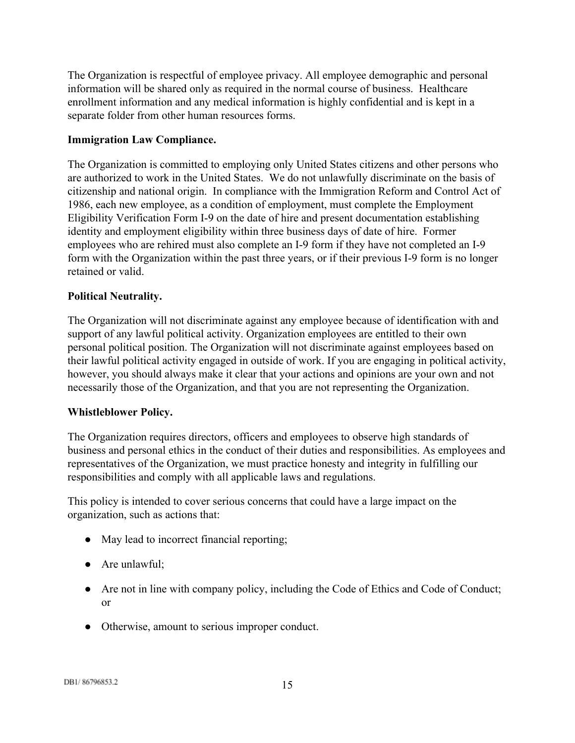The Organization is respectful of employee privacy. All employee demographic and personal information will be shared only as required in the normal course of business. Healthcare enrollment information and any medical information is highly confidential and is kept in a separate folder from other human resources forms.

# <span id="page-14-0"></span>**Immigration Law Compliance.**

The Organization is committed to employing only United States citizens and other persons who are authorized to work in the United States. We do not unlawfully discriminate on the basis of citizenship and national origin. In compliance with the Immigration Reform and Control Act of 1986, each new employee, as a condition of employment, must complete the Employment Eligibility Verification Form I-9 on the date of hire and present documentation establishing identity and employment eligibility within three business days of date of hire. Former employees who are rehired must also complete an I-9 form if they have not completed an I-9 form with the Organization within the past three years, or if their previous I-9 form is no longer retained or valid.

# <span id="page-14-1"></span>**Political Neutrality.**

The Organization will not discriminate against any employee because of identification with and support of any lawful political activity. Organization employees are entitled to their own personal political position. The Organization will not discriminate against employees based on their lawful political activity engaged in outside of work. If you are engaging in political activity, however, you should always make it clear that your actions and opinions are your own and not necessarily those of the Organization, and that you are not representing the Organization.

## <span id="page-14-2"></span>**Whistleblower Policy.**

The Organization requires directors, officers and employees to observe high standards of business and personal ethics in the conduct of their duties and responsibilities. As employees and representatives of the Organization, we must practice honesty and integrity in fulfilling our responsibilities and comply with all applicable laws and regulations.

This policy is intended to cover serious concerns that could have a large impact on the organization, such as actions that:

- May lead to incorrect financial reporting;
- Are unlawful:
- Are not in line with company policy, including the Code of Ethics and Code of Conduct; or
- Otherwise, amount to serious improper conduct.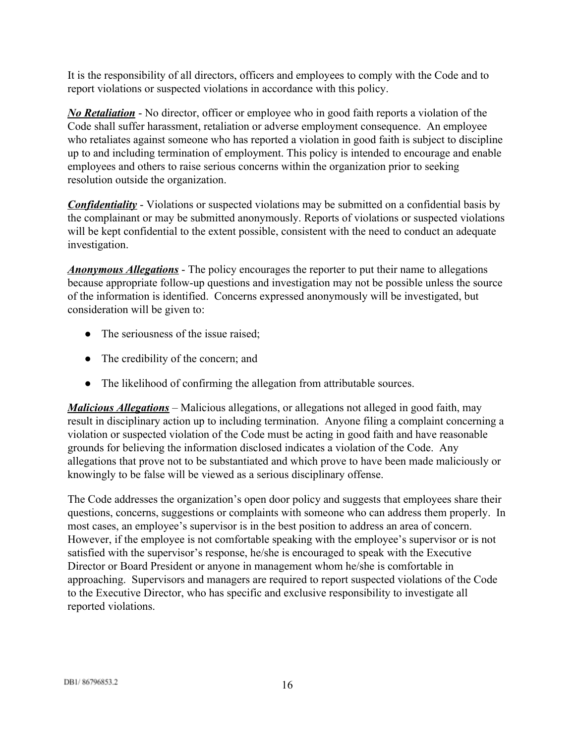It is the responsibility of all directors, officers and employees to comply with the Code and to report violations or suspected violations in accordance with this policy.

**No Retaliation** - No director, officer or employee who in good faith reports a violation of the Code shall suffer harassment, retaliation or adverse employment consequence. An employee who retaliates against someone who has reported a violation in good faith is subject to discipline up to and including termination of employment. This policy is intended to encourage and enable employees and others to raise serious concerns within the organization prior to seeking resolution outside the organization.

**Confidentiality** - Violations or suspected violations may be submitted on a confidential basis by the complainant or may be submitted anonymously. Reports of violations or suspected violations will be kept confidential to the extent possible, consistent with the need to conduct an adequate investigation.

*Anonymous Allegations* - The policy encourages the reporter to put their name to allegations because appropriate follow-up questions and investigation may not be possible unless the source of the information is identified. Concerns expressed anonymously will be investigated, but consideration will be given to:

- The seriousness of the issue raised;
- The credibility of the concern; and
- The likelihood of confirming the allegation from attributable sources.

*Malicious Allegations*– Malicious allegations, or allegations not alleged in good faith, may result in disciplinary action up to including termination. Anyone filing a complaint concerning a violation or suspected violation of the Code must be acting in good faith and have reasonable grounds for believing the information disclosed indicates a violation of the Code. Any allegations that prove not to be substantiated and which prove to have been made maliciously or knowingly to be false will be viewed as a serious disciplinary offense.

The Code addresses the organization's open door policy and suggests that employees share their questions, concerns, suggestions or complaints with someone who can address them properly. In most cases, an employee's supervisor is in the best position to address an area of concern. However, if the employee is not comfortable speaking with the employee's supervisor or is not satisfied with the supervisor's response, he/she is encouraged to speak with the Executive Director or Board President or anyone in management whom he/she is comfortable in approaching. Supervisors and managers are required to report suspected violations of the Code to the Executive Director, who has specific and exclusive responsibility to investigate all reported violations.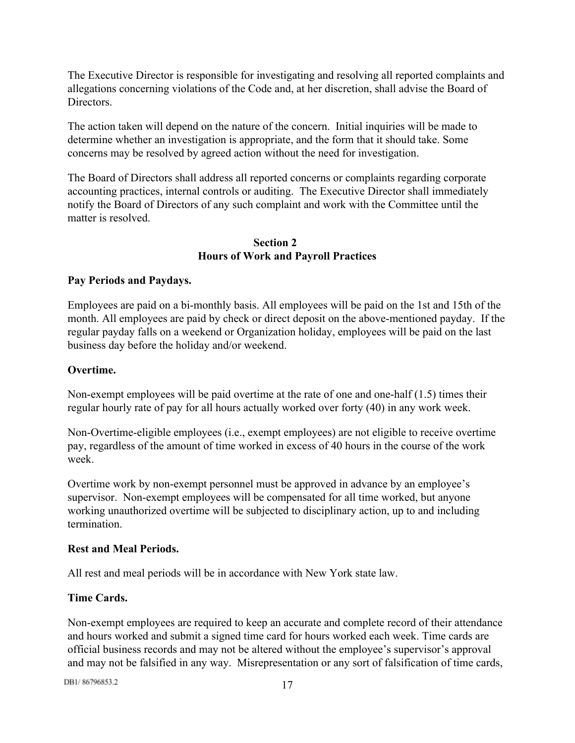The Executive Director is responsible for investigating and resolving all reported complaints and allegations concerning violations of the Code and, at her discretion, shall advise the Board of **Directors** 

The action taken will depend on the nature of the concern. Initial inquiries will be made to determine whether an investigation is appropriate, and the form that it should take. Some concerns may be resolved by agreed action without the need for investigation.

The Board of Directors shall address all reported concerns or complaints regarding corporate accounting practices, internal controls or auditing. The Executive Director shall immediately notify the Board of Directors of any such complaint and work with the Committee until the matter is resolved.

# **Section 2 Hours of Work and Payroll Practices**

# <span id="page-16-1"></span><span id="page-16-0"></span>**Pay Periods and Paydays.**

Employees are paid on a bi-monthly basis. All employees will be paid on the 1st and 15th of the month. All employees are paid by check or direct deposit on the above-mentioned payday. If the regular payday falls on a weekend or Organization holiday, employees will be paid on the last business day before the holiday and/or weekend.

## <span id="page-16-2"></span>**Overtime.**

Non-exempt employees will be paid overtime at the rate of one and one-half  $(1.5)$  times their regular hourly rate of pay for all hours actually worked over forty (40) in any work week.

Non-Overtime-eligible employees (i.e., exempt employees) are not eligible to receive overtime pay, regardless of the amount of time worked in excess of 40 hours in the course of the work week.

Overtime work by non-exempt personnel must be approved in advance by an employee's supervisor. Non-exempt employees will be compensated for all time worked, but anyone working unauthorized overtime will be subjected to disciplinary action, up to and including termination.

## <span id="page-16-3"></span>**Rest and Meal Periods.**

All rest and meal periods will be in accordance with New York state law.

# <span id="page-16-4"></span>**Time Cards.**

Non-exempt employees are required to keep an accurate and complete record of their attendance and hours worked and submit a signed time card for hours worked each week. Time cards are official business records and may not be altered without the employee's supervisor's approval and may not be falsified in any way. Misrepresentation or any sort of falsification of time cards,

DB1/86796853.2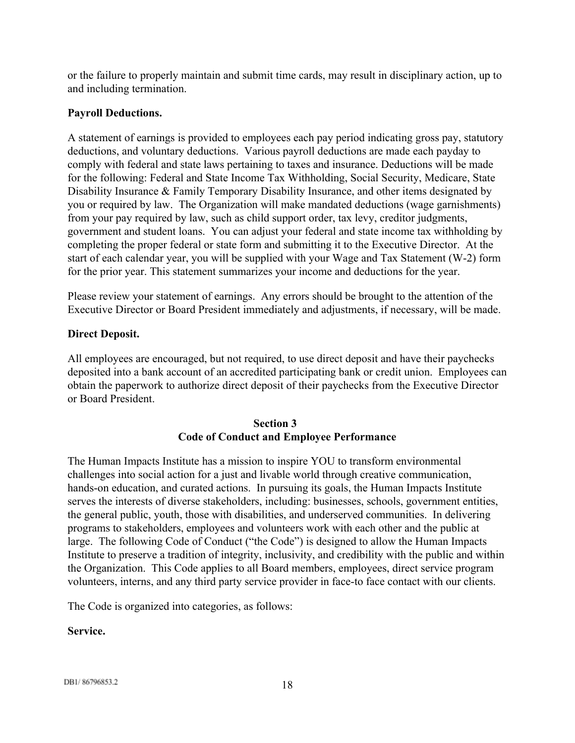or the failure to properly maintain and submit time cards, may result in disciplinary action, up to and including termination.

## <span id="page-17-0"></span>**Payroll Deductions.**

A statement of earnings is provided to employees each pay period indicating gross pay, statutory deductions, and voluntary deductions. Various payroll deductions are made each payday to comply with federal and state laws pertaining to taxes and insurance. Deductions will be made for the following: Federal and State Income Tax Withholding, Social Security, Medicare, State Disability Insurance & Family Temporary Disability Insurance, and other items designated by you or required by law. The Organization will make mandated deductions (wage garnishments) from your pay required by law, such as child support order, tax levy, creditor judgments, government and student loans. You can adjust your federal and state income tax withholding by completing the proper federal or state form and submitting it to the Executive Director. At the start of each calendar year, you will be supplied with your Wage and Tax Statement (W-2) form for the prior year. This statement summarizes your income and deductions for the year.

Please review your statement of earnings. Any errors should be brought to the attention of the Executive Director or Board President immediately and adjustments, if necessary, will be made.

#### <span id="page-17-1"></span>**Direct Deposit.**

All employees are encouraged, but not required, to use direct deposit and have their paychecks deposited into a bank account of an accredited participating bank or credit union. Employees can obtain the paperwork to authorize direct deposit of their paychecks from the Executive Director or Board President.

## **Section 3 Code of Conduct and Employee Performance**

<span id="page-17-2"></span>The Human Impacts Institute has a mission to inspire YOU to transform environmental challenges into social action for a just and livable world through creative communication, hands-on education, and curated actions. In pursuing its goals, the Human Impacts Institute serves the interests of diverse stakeholders, including: businesses, schools, government entities, the general public, youth, those with disabilities, and underserved communities. In delivering programs to stakeholders, employees and volunteers work with each other and the public at large. The following Code of Conduct ("the Code") is designed to allow the Human Impacts Institute to preserve a tradition of integrity, inclusivity, and credibility with the public and within the Organization. This Code applies to all Board members, employees, direct service program volunteers, interns, and any third party service provider in face-to face contact with our clients.

The Code is organized into categories, as follows:

#### <span id="page-17-3"></span>**Service.**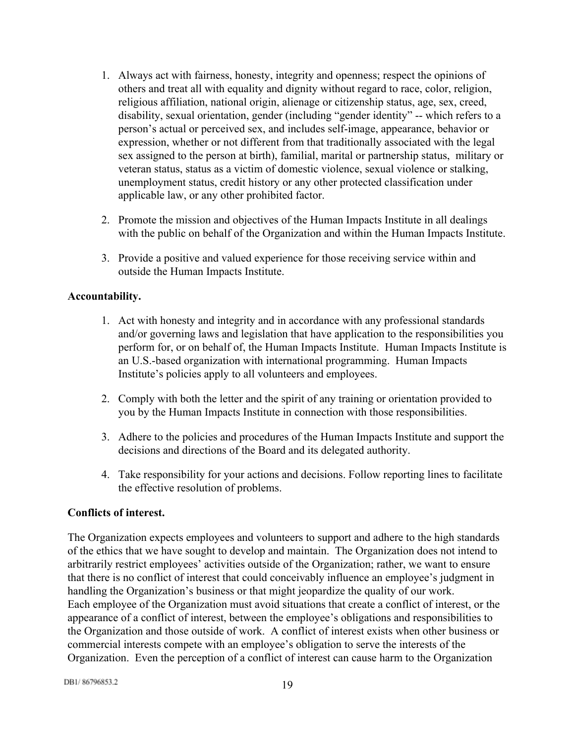- 1. Always act with fairness, honesty, integrity and openness; respect the opinions of others and treat all with equality and dignity without regard to race, color, religion, religious affiliation, national origin, alienage or citizenship status, age, sex, creed, disability, sexual orientation, gender (including "gender identity" -- which refers to a person's actual or perceived sex, and includes self-image, appearance, behavior or expression, whether or not different from that traditionally associated with the legal sex assigned to the person at birth), familial, marital or partnership status, military or veteran status, status as a victim of domestic violence, sexual violence or stalking, unemployment status, credit history or any other protected classification under applicable law, or any other prohibited factor.
- 2. Promote the mission and objectives of the Human Impacts Institute in all dealings with the public on behalf of the Organization and within the Human Impacts Institute.
- 3. Provide a positive and valued experience for those receiving service within and outside the Human Impacts Institute.

## <span id="page-18-0"></span>**Accountability.**

- 1. Act with honesty and integrity and in accordance with any professional standards and/or governing laws and legislation that have application to the responsibilities you perform for, or on behalf of, the Human Impacts Institute. Human Impacts Institute is an U.S.-based organization with international programming. Human Impacts Institute's policies apply to all volunteers and employees.
- 2. Comply with both the letter and the spirit of any training or orientation provided to you by the Human Impacts Institute in connection with those responsibilities.
- 3. Adhere to the policies and procedures of the Human Impacts Institute and support the decisions and directions of the Board and its delegated authority.
- 4. Take responsibility for your actions and decisions. Follow reporting lines to facilitate the effective resolution of problems.

## <span id="page-18-1"></span>**Conflicts of interest.**

The Organization expects employees and volunteers to support and adhere to the high standards of the ethics that we have sought to develop and maintain. The Organization does not intend to arbitrarily restrict employees' activities outside of the Organization; rather, we want to ensure that there is no conflict of interest that could conceivably influence an employee's judgment in handling the Organization's business or that might jeopardize the quality of our work. Each employee of the Organization must avoid situations that create a conflict of interest, or the appearance of a conflict of interest, between the employee's obligations and responsibilities to the Organization and those outside of work. A conflict of interest exists when other business or commercial interests compete with an employee's obligation to serve the interests of the Organization. Even the perception of a conflict of interest can cause harm to the Organization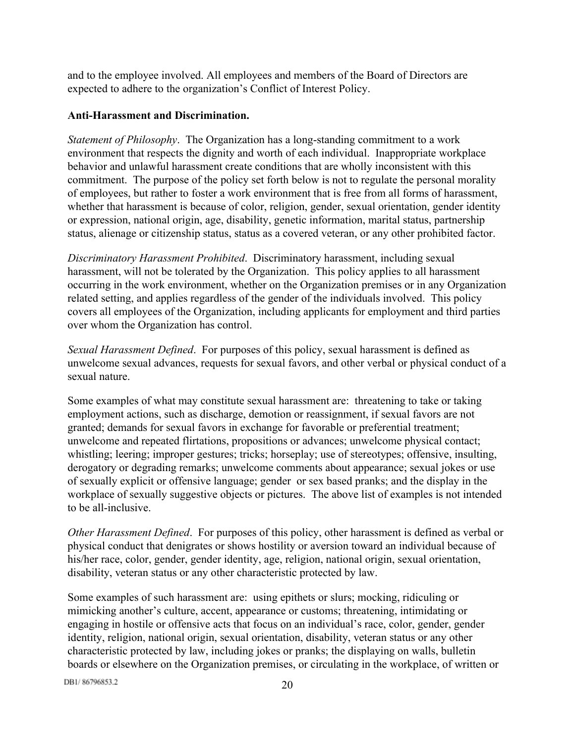and to the employee involved. All employees and members of the Board of Directors are expected to adhere to the organization's Conflict of Interest Policy.

## <span id="page-19-0"></span>**Anti-Harassment and Discrimination.**

*Statement of Philosophy.* The Organization has a long-standing commitment to a work environment that respects the dignity and worth of each individual. Inappropriate workplace behavior and unlawful harassment create conditions that are wholly inconsistent with this commitment. The purpose of the policy set forth below is not to regulate the personal morality of employees, but rather to foster a work environment that is free from all forms of harassment, whether that harassment is because of color, religion, gender, sexual orientation, gender identity or expression, national origin, age, disability, genetic information, marital status, partnership status, alienage or citizenship status, status as a covered veteran, or any other prohibited factor.

*Discriminatory Harassment Prohibited*. Discriminatory harassment, including sexual harassment, will not be tolerated by the Organization. This policy applies to all harassment occurring in the work environment, whether on the Organization premises or in any Organization related setting, and applies regardless of the gender of the individuals involved. This policy covers all employees of the Organization, including applicants for employment and third parties over whom the Organization has control.

*Sexual Harassment Defined*. For purposes of this policy, sexual harassment is defined as unwelcome sexual advances, requests for sexual favors, and other verbal or physical conduct of a sexual nature.

Some examples of what may constitute sexual harassment are: threatening to take or taking employment actions, such as discharge, demotion or reassignment, if sexual favors are not granted; demands for sexual favors in exchange for favorable or preferential treatment; unwelcome and repeated flirtations, propositions or advances; unwelcome physical contact; whistling; leering; improper gestures; tricks; horseplay; use of stereotypes; offensive, insulting, derogatory or degrading remarks; unwelcome comments about appearance; sexual jokes or use of sexually explicit or offensive language; gender or sex based pranks; and the display in the workplace of sexually suggestive objects or pictures. The above list of examples is not intended to be all-inclusive.

*Other Harassment Defined*. For purposes of this policy, other harassment is defined as verbal or physical conduct that denigrates or shows hostility or aversion toward an individual because of his/her race, color, gender, gender identity, age, religion, national origin, sexual orientation, disability, veteran status or any other characteristic protected by law.

Some examples of such harassment are: using epithets or slurs; mocking, ridiculing or mimicking another's culture, accent, appearance or customs; threatening, intimidating or engaging in hostile or offensive acts that focus on an individual's race, color, gender, gender identity, religion, national origin, sexual orientation, disability, veteran status or any other characteristic protected by law, including jokes or pranks; the displaying on walls, bulletin boards or elsewhere on the Organization premises, or circulating in the workplace, of written or

DB1/86796853.2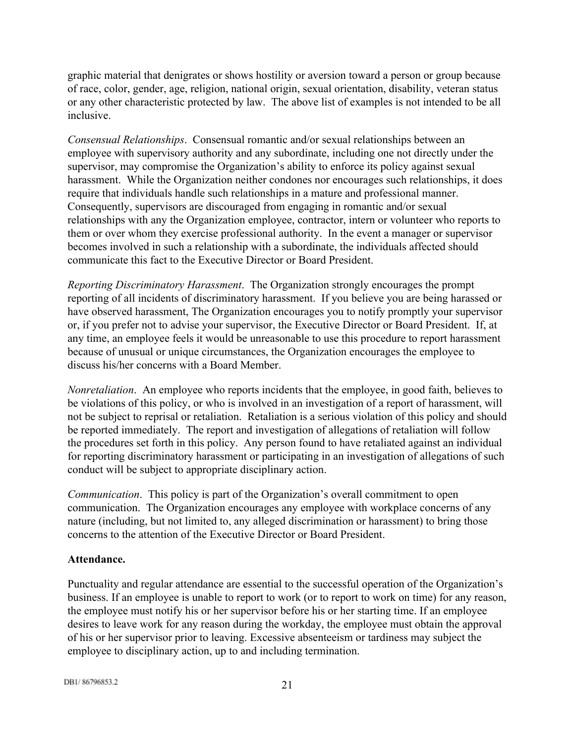graphic material that denigrates or shows hostility or aversion toward a person or group because of race, color, gender, age, religion, national origin, sexual orientation, disability, veteran status or any other characteristic protected by law. The above list of examples is not intended to be all inclusive.

*Consensual Relationships*. Consensual romantic and/or sexual relationships between an employee with supervisory authority and any subordinate, including one not directly under the supervisor, may compromise the Organization's ability to enforce its policy against sexual harassment. While the Organization neither condones nor encourages such relationships, it does require that individuals handle such relationships in a mature and professional manner. Consequently, supervisors are discouraged from engaging in romantic and/or sexual relationships with any the Organization employee, contractor, intern or volunteer who reports to them or over whom they exercise professional authority. In the event a manager or supervisor becomes involved in such a relationship with a subordinate, the individuals affected should communicate this fact to the Executive Director or Board President.

*Reporting Discriminatory Harassment*. The Organization strongly encourages the prompt reporting of all incidents of discriminatory harassment. If you believe you are being harassed or have observed harassment, The Organization encourages you to notify promptly your supervisor or, if you prefer not to advise your supervisor, the Executive Director or Board President. If, at any time, an employee feels it would be unreasonable to use this procedure to report harassment because of unusual or unique circumstances, the Organization encourages the employee to discuss his/her concerns with a Board Member.

*Nonretaliation*. An employee who reports incidents that the employee, in good faith, believes to be violations of this policy, or who is involved in an investigation of a report of harassment, will not be subject to reprisal or retaliation. Retaliation is a serious violation of this policy and should be reported immediately. The report and investigation of allegations of retaliation will follow the procedures set forth in this policy. Any person found to have retaliated against an individual for reporting discriminatory harassment or participating in an investigation of allegations of such conduct will be subject to appropriate disciplinary action.

*Communication*. This policy is part of the Organization's overall commitment to open communication. The Organization encourages any employee with workplace concerns of any nature (including, but not limited to, any alleged discrimination or harassment) to bring those concerns to the attention of the Executive Director or Board President.

## <span id="page-20-0"></span>**Attendance.**

Punctuality and regular attendance are essential to the successful operation of the Organization's business. If an employee is unable to report to work (or to report to work on time) for any reason, the employee must notify his or her supervisor before his or her starting time. If an employee desires to leave work for any reason during the workday, the employee must obtain the approval of his or her supervisor prior to leaving. Excessive absenteeism or tardiness may subject the employee to disciplinary action, up to and including termination.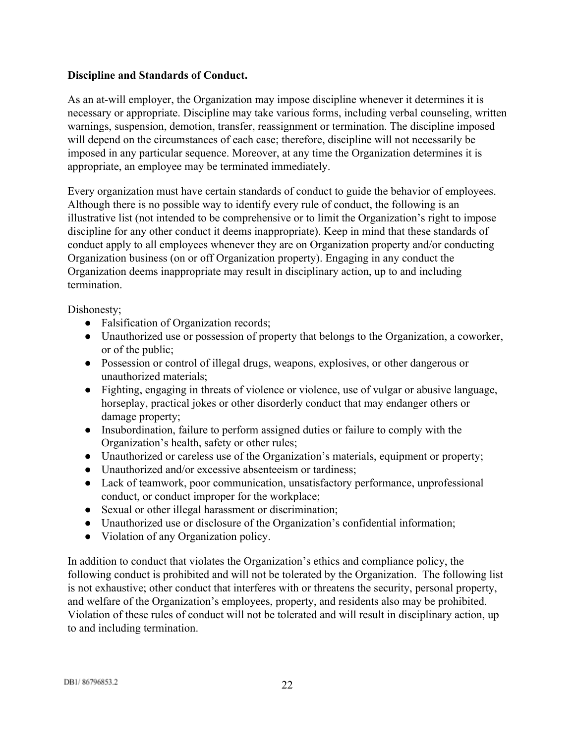## <span id="page-21-0"></span>**Discipline and Standards of Conduct.**

As an at-will employer, the Organization may impose discipline whenever it determines it is necessary or appropriate. Discipline may take various forms, including verbal counseling, written warnings, suspension, demotion, transfer, reassignment or termination. The discipline imposed will depend on the circumstances of each case; therefore, discipline will not necessarily be imposed in any particular sequence. Moreover, at any time the Organization determines it is appropriate, an employee may be terminated immediately.

Every organization must have certain standards of conduct to guide the behavior of employees. Although there is no possible way to identify every rule of conduct, the following is an illustrative list (not intended to be comprehensive or to limit the Organization's right to impose discipline for any other conduct it deems inappropriate). Keep in mind that these standards of conduct apply to all employees whenever they are on Organization property and/or conducting Organization business (on or off Organization property). Engaging in any conduct the Organization deems inappropriate may result in disciplinary action, up to and including termination.

Dishonesty;

- Falsification of Organization records;
- Unauthorized use or possession of property that belongs to the Organization, a coworker, or of the public;
- Possession or control of illegal drugs, weapons, explosives, or other dangerous or unauthorized materials;
- Fighting, engaging in threats of violence or violence, use of vulgar or abusive language, horseplay, practical jokes or other disorderly conduct that may endanger others or damage property;
- Insubordination, failure to perform assigned duties or failure to comply with the Organization's health, safety or other rules;
- Unauthorized or careless use of the Organization's materials, equipment or property;
- Unauthorized and/or excessive absenteeism or tardiness;
- Lack of teamwork, poor communication, unsatisfactory performance, unprofessional conduct, or conduct improper for the workplace;
- Sexual or other illegal harassment or discrimination;
- Unauthorized use or disclosure of the Organization's confidential information;
- Violation of any Organization policy.

In addition to conduct that violates the Organization's ethics and compliance policy, the following conduct is prohibited and will not be tolerated by the Organization. The following list is not exhaustive; other conduct that interferes with or threatens the security, personal property, and welfare of the Organization's employees, property, and residents also may be prohibited. Violation of these rules of conduct will not be tolerated and will result in disciplinary action, up to and including termination.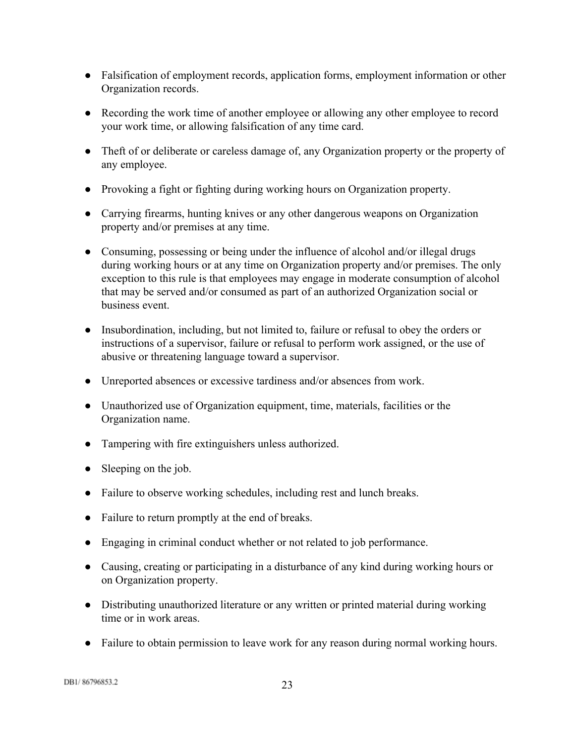- Falsification of employment records, application forms, employment information or other Organization records.
- Recording the work time of another employee or allowing any other employee to record your work time, or allowing falsification of any time card.
- Theft of or deliberate or careless damage of, any Organization property or the property of any employee.
- Provoking a fight or fighting during working hours on Organization property.
- Carrying firearms, hunting knives or any other dangerous weapons on Organization property and/or premises at any time.
- Consuming, possessing or being under the influence of alcohol and/or illegal drugs during working hours or at any time on Organization property and/or premises. The only exception to this rule is that employees may engage in moderate consumption of alcohol that may be served and/or consumed as part of an authorized Organization social or business event.
- Insubordination, including, but not limited to, failure or refusal to obey the orders or instructions of a supervisor, failure or refusal to perform work assigned, or the use of abusive or threatening language toward a supervisor.
- Unreported absences or excessive tardiness and/or absences from work.
- Unauthorized use of Organization equipment, time, materials, facilities or the Organization name.
- Tampering with fire extinguishers unless authorized.
- Sleeping on the job.
- Failure to observe working schedules, including rest and lunch breaks.
- Failure to return promptly at the end of breaks.
- Engaging in criminal conduct whether or not related to job performance.
- Causing, creating or participating in a disturbance of any kind during working hours or on Organization property.
- Distributing unauthorized literature or any written or printed material during working time or in work areas.
- Failure to obtain permission to leave work for any reason during normal working hours.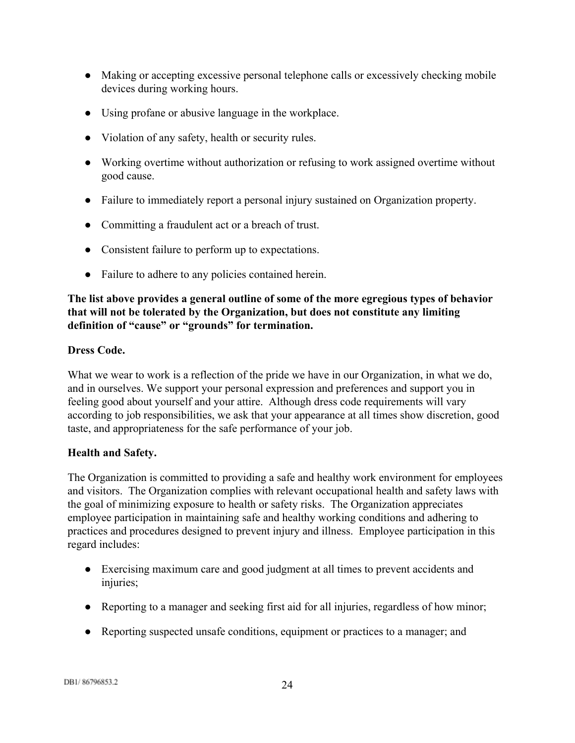- Making or accepting excessive personal telephone calls or excessively checking mobile devices during working hours.
- Using profane or abusive language in the workplace.
- Violation of any safety, health or security rules.
- Working overtime without authorization or refusing to work assigned overtime without good cause.
- Failure to immediately report a personal injury sustained on Organization property.
- Committing a fraudulent act or a breach of trust.
- Consistent failure to perform up to expectations.
- Failure to adhere to any policies contained herein.

# **The list above provides a general outline of some of the more egregious types of behavior that will not be tolerated by the Organization, but does not constitute any limiting definition of "cause" or "grounds" for termination.**

## <span id="page-23-0"></span>**Dress Code.**

What we wear to work is a reflection of the pride we have in our Organization, in what we do, and in ourselves. We support your personal expression and preferences and support you in feeling good about yourself and your attire. Although dress code requirements will vary according to job responsibilities, we ask that your appearance at all times show discretion, good taste, and appropriateness for the safe performance of your job.

# <span id="page-23-1"></span>**Health and Safety.**

The Organization is committed to providing a safe and healthy work environment for employees and visitors. The Organization complies with relevant occupational health and safety laws with the goal of minimizing exposure to health or safety risks. The Organization appreciates employee participation in maintaining safe and healthy working conditions and adhering to practices and procedures designed to prevent injury and illness. Employee participation in this regard includes:

- Exercising maximum care and good judgment at all times to prevent accidents and injuries;
- Reporting to a manager and seeking first aid for all injuries, regardless of how minor;
- Reporting suspected unsafe conditions, equipment or practices to a manager; and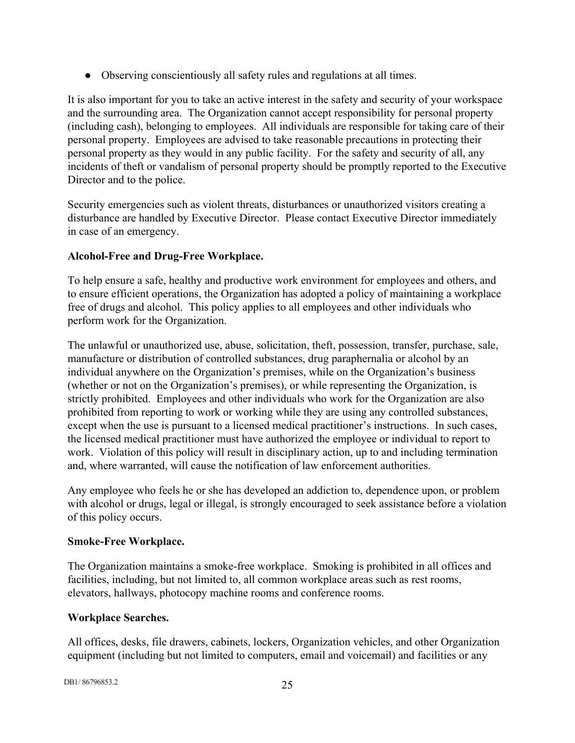● Observing conscientiously all safety rules and regulations at all times.

It is also important for you to take an active interest in the safety and security of your workspace and the surrounding area. The Organization cannot accept responsibility for personal property (including cash), belonging to employees. All individuals are responsible for taking care of their personal property. Employees are advised to take reasonable precautions in protecting their personal property as they would in any public facility. For the safety and security of all, any incidents of theft or vandalism of personal property should be promptly reported to the Executive Director and to the police.

Security emergencies such as violent threats, disturbances or unauthorized visitors creating a disturbance are handled by Executive Director. Please contact Executive Director immediately in case of an emergency.

# <span id="page-24-0"></span>**AlcoholFree and DrugFree Workplace.**

To help ensure a safe, healthy and productive work environment for employees and others, and to ensure efficient operations, the Organization has adopted a policy of maintaining a workplace free of drugs and alcohol. This policy applies to all employees and other individuals who perform work for the Organization.

The unlawful or unauthorized use, abuse, solicitation, theft, possession, transfer, purchase, sale, manufacture or distribution of controlled substances, drug paraphernalia or alcohol by an individual anywhere on the Organization's premises, while on the Organization's business (whether or not on the Organization's premises), or while representing the Organization, is strictly prohibited. Employees and other individuals who work for the Organization are also prohibited from reporting to work or working while they are using any controlled substances, except when the use is pursuant to a licensed medical practitioner's instructions. In such cases, the licensed medical practitioner must have authorized the employee or individual to report to work. Violation of this policy will result in disciplinary action, up to and including termination and, where warranted, will cause the notification of law enforcement authorities.

Any employee who feels he or she has developed an addiction to, dependence upon, or problem with alcohol or drugs, legal or illegal, is strongly encouraged to seek assistance before a violation of this policy occurs.

# <span id="page-24-1"></span>**SmokeFree Workplace.**

The Organization maintains a smoke-free workplace. Smoking is prohibited in all offices and facilities, including, but not limited to, all common workplace areas such as rest rooms, elevators, hallways, photocopy machine rooms and conference rooms.

# <span id="page-24-2"></span>**Workplace Searches.**

All offices, desks, file drawers, cabinets, lockers, Organization vehicles, and other Organization equipment (including but not limited to computers, email and voicemail) and facilities or any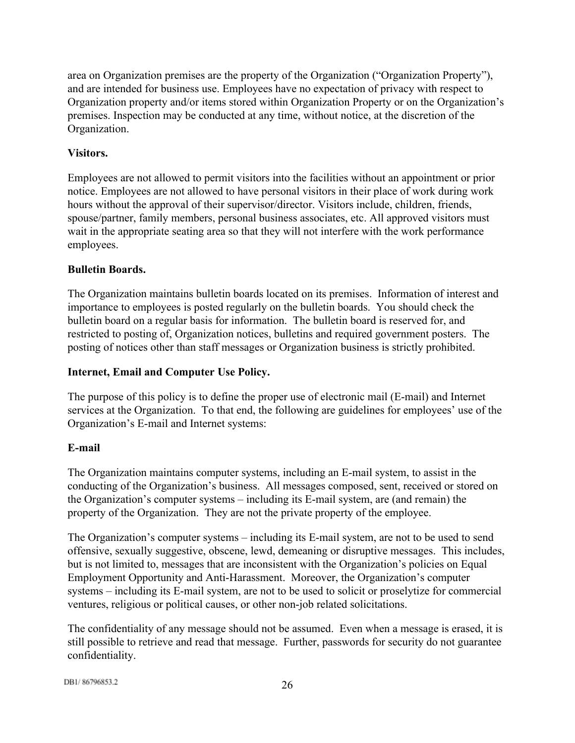area on Organization premises are the property of the Organization ("Organization Property"), and are intended for business use. Employees have no expectation of privacy with respect to Organization property and/or items stored within Organization Property or on the Organization's premises. Inspection may be conducted at any time, without notice, at the discretion of the Organization.

# <span id="page-25-0"></span>**Visitors.**

Employees are not allowed to permit visitors into the facilities without an appointment or prior notice. Employees are not allowed to have personal visitors in their place of work during work hours without the approval of their supervisor/director. Visitors include, children, friends, spouse/partner, family members, personal business associates, etc. All approved visitors must wait in the appropriate seating area so that they will not interfere with the work performance employees.

# <span id="page-25-1"></span>**Bulletin Boards.**

The Organization maintains bulletin boards located on its premises. Information of interest and importance to employees is posted regularly on the bulletin boards. You should check the bulletin board on a regular basis for information. The bulletin board is reserved for, and restricted to posting of, Organization notices, bulletins and required government posters. The posting of notices other than staff messages or Organization business is strictly prohibited.

# <span id="page-25-2"></span>**Internet, Email and Computer Use Policy.**

The purpose of this policy is to define the proper use of electronic mail (E-mail) and Internet services at the Organization. To that end, the following are guidelines for employees' use of the Organization's E-mail and Internet systems:

# **Email**

The Organization maintains computer systems, including an E-mail system, to assist in the conducting of the Organization's business. All messages composed, sent, received or stored on the Organization's computer systems  $-$  including its E-mail system, are (and remain) the property of the Organization. They are not the private property of the employee.

The Organization's computer systems – including its E-mail system, are not to be used to send offensive, sexually suggestive, obscene, lewd, demeaning or disruptive messages. This includes, but is not limited to, messages that are inconsistent with the Organization's policies on Equal Employment Opportunity and Anti-Harassment. Moreover, the Organization's computer systems – including its E-mail system, are not to be used to solicit or proselytize for commercial ventures, religious or political causes, or other non-job related solicitations.

The confidentiality of any message should not be assumed. Even when a message is erased, it is still possible to retrieve and read that message. Further, passwords for security do not guarantee confidentiality.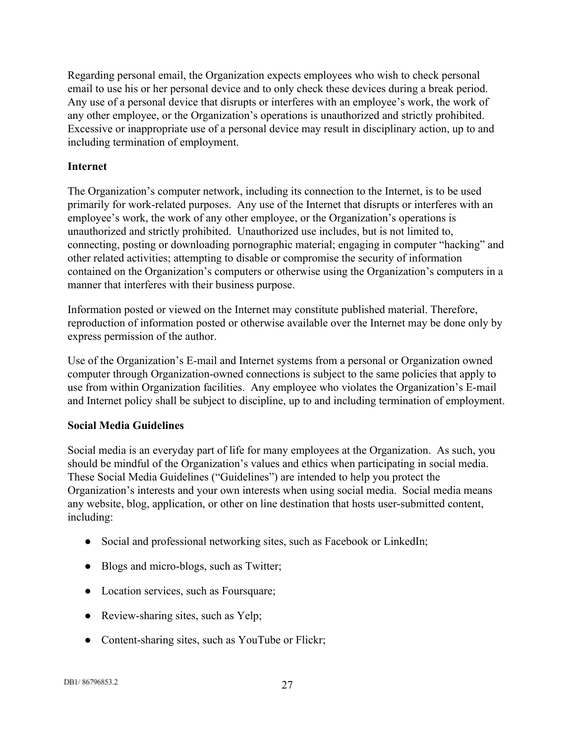Regarding personal email, the Organization expects employees who wish to check personal email to use his or her personal device and to only check these devices during a break period. Any use of a personal device that disrupts or interferes with an employee's work, the work of any other employee, or the Organization's operations is unauthorized and strictly prohibited. Excessive or inappropriate use of a personal device may result in disciplinary action, up to and including termination of employment.

## **Internet**

The Organization's computer network, including its connection to the Internet, is to be used primarily for work-related purposes. Any use of the Internet that disrupts or interferes with an employee's work, the work of any other employee, or the Organization's operations is unauthorized and strictly prohibited. Unauthorized use includes, but is not limited to, connecting, posting or downloading pornographic material; engaging in computer "hacking" and other related activities; attempting to disable or compromise the security of information contained on the Organization's computers or otherwise using the Organization's computers in a manner that interferes with their business purpose.

Information posted or viewed on the Internet may constitute published material. Therefore, reproduction of information posted or otherwise available over the Internet may be done only by express permission of the author.

Use of the Organization's E-mail and Internet systems from a personal or Organization owned computer through Organization-owned connections is subject to the same policies that apply to use from within Organization facilities. Any employee who violates the Organization's E-mail and Internet policy shall be subject to discipline, up to and including termination of employment.

# **Social Media Guidelines**

Social media is an everyday part of life for many employees at the Organization. As such, you should be mindful of the Organization's values and ethics when participating in social media. These Social Media Guidelines ("Guidelines") are intended to help you protect the Organization's interests and your own interests when using social media. Social media means any website, blog, application, or other on line destination that hosts user-submitted content, including:

- Social and professional networking sites, such as Facebook or LinkedIn;
- Blogs and micro-blogs, such as Twitter;
- Location services, such as Foursquare;
- Review-sharing sites, such as Yelp;
- Content-sharing sites, such as YouTube or Flickr;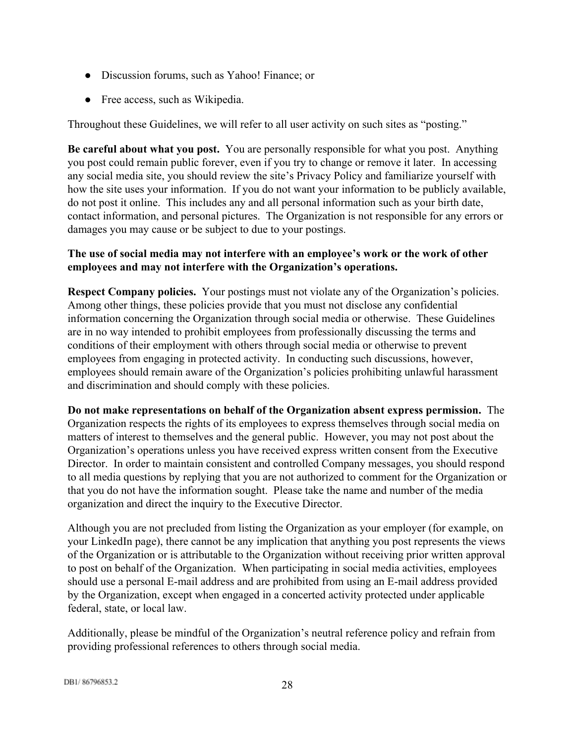- Discussion forums, such as Yahoo! Finance; or
- Free access, such as Wikipedia.

Throughout these Guidelines, we will refer to all user activity on such sites as "posting."

**Be careful about what you post.**You are personally responsible for what you post. Anything you post could remain public forever, even if you try to change or remove it later. In accessing any social media site, you should review the site's Privacy Policy and familiarize yourself with how the site uses your information. If you do not want your information to be publicly available, do not post it online. This includes any and all personal information such as your birth date, contact information, and personal pictures. The Organization is not responsible for any errors or damages you may cause or be subject to due to your postings.

# **The use of social media may not interfere with an employee's work or the work of other employees and may not interfere with the Organization's operations.**

**Respect Company policies.**Your postings must not violate any of the Organization's policies. Among other things, these policies provide that you must not disclose any confidential information concerning the Organization through social media or otherwise. These Guidelines are in no way intended to prohibit employees from professionally discussing the terms and conditions of their employment with others through social media or otherwise to prevent employees from engaging in protected activity. In conducting such discussions, however, employees should remain aware of the Organization's policies prohibiting unlawful harassment and discrimination and should comply with these policies.

**Do not make representations on behalf of the Organization absent express permission.** The Organization respects the rights of its employees to express themselves through social media on matters of interest to themselves and the general public. However, you may not post about the Organization's operations unless you have received express written consent from the Executive Director. In order to maintain consistent and controlled Company messages, you should respond to all media questions by replying that you are not authorized to comment for the Organization or that you do not have the information sought. Please take the name and number of the media organization and direct the inquiry to the Executive Director.

Although you are not precluded from listing the Organization as your employer (for example, on your LinkedIn page), there cannot be any implication that anything you post represents the views of the Organization or is attributable to the Organization without receiving prior written approval to post on behalf of the Organization. When participating in social media activities, employees should use a personal E-mail address and are prohibited from using an E-mail address provided by the Organization, except when engaged in a concerted activity protected under applicable federal, state, or local law.

Additionally, please be mindful of the Organization's neutral reference policy and refrain from providing professional references to others through social media.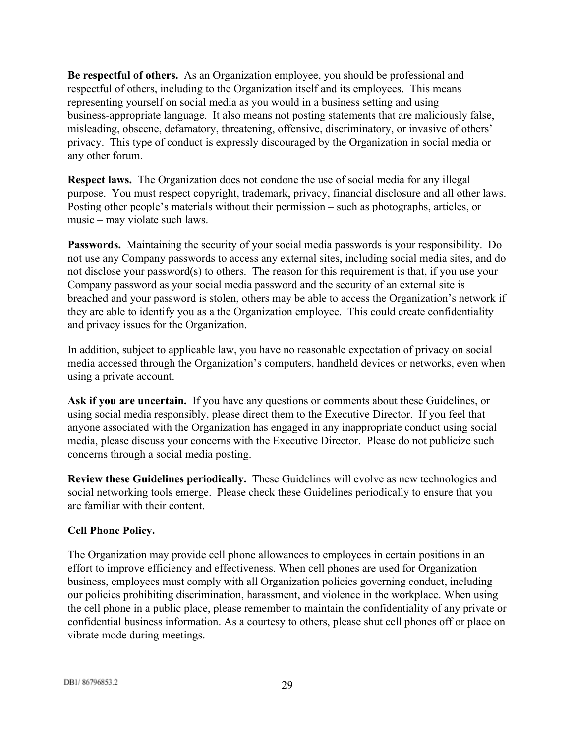**Be respectful of others.**As an Organization employee, you should be professional and respectful of others, including to the Organization itself and its employees. This means representing yourself on social media as you would in a business setting and using business-appropriate language. It also means not posting statements that are maliciously false, misleading, obscene, defamatory, threatening, offensive, discriminatory, or invasive of others' privacy. This type of conduct is expressly discouraged by the Organization in social media or any other forum.

**Respect laws.**The Organization does not condone the use of social media for any illegal purpose. You must respect copyright, trademark, privacy, financial disclosure and all other laws. Posting other people's materials without their permission – such as photographs, articles, or music – may violate such laws.

**Passwords.** Maintaining the security of your social media passwords is your responsibility. Do not use any Company passwords to access any external sites, including social media sites, and do not disclose your password(s) to others. The reason for this requirement is that, if you use your Company password as your social media password and the security of an external site is breached and your password is stolen, others may be able to access the Organization's network if they are able to identify you as a the Organization employee. This could create confidentiality and privacy issues for the Organization.

In addition, subject to applicable law, you have no reasonable expectation of privacy on social media accessed through the Organization's computers, handheld devices or networks, even when using a private account.

**Ask if you are uncertain.**If you have any questions or comments about these Guidelines, or using social media responsibly, please direct them to the Executive Director. If you feel that anyone associated with the Organization has engaged in any inappropriate conduct using social media, please discuss your concerns with the Executive Director. Please do not publicize such concerns through a social media posting.

**Review these Guidelines periodically.**These Guidelines will evolve as new technologies and social networking tools emerge. Please check these Guidelines periodically to ensure that you are familiar with their content.

# <span id="page-28-0"></span>**Cell Phone Policy.**

The Organization may provide cell phone allowances to employees in certain positions in an effort to improve efficiency and effectiveness. When cell phones are used for Organization business, employees must comply with all Organization policies governing conduct, including our policies prohibiting discrimination, harassment, and violence in the workplace. When using the cell phone in a public place, please remember to maintain the confidentiality of any private or confidential business information. As a courtesy to others, please shut cell phones off or place on vibrate mode during meetings.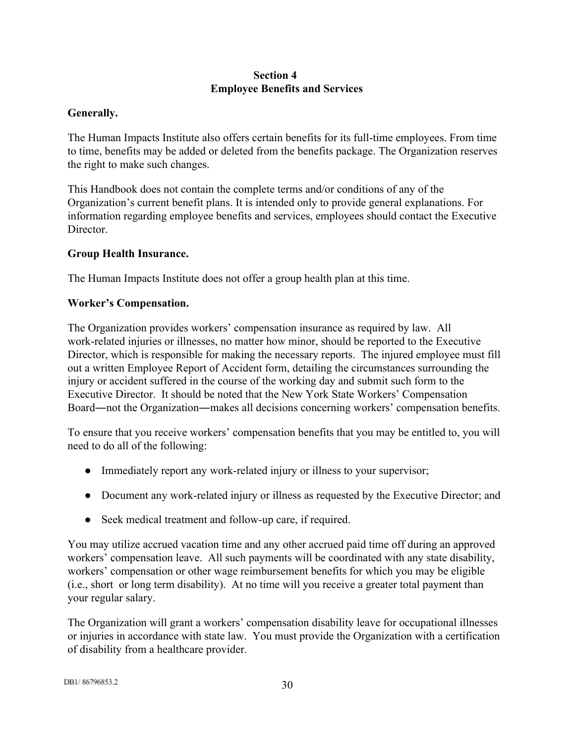# **Section 4 Employee Benefits and Services**

# <span id="page-29-1"></span><span id="page-29-0"></span>**Generally.**

The Human Impacts Institute also offers certain benefits for its full-time employees. From time to time, benefits may be added or deleted from the benefits package. The Organization reserves the right to make such changes.

This Handbook does not contain the complete terms and/or conditions of any of the Organization's current benefit plans. It is intended only to provide general explanations. For information regarding employee benefits and services, employees should contact the Executive **Director** 

## <span id="page-29-2"></span>**Group Health Insurance.**

The Human Impacts Institute does not offer a group health plan at this time.

## <span id="page-29-3"></span>**Worker's Compensation.**

The Organization provides workers' compensation insurance as required by law. All work-related injuries or illnesses, no matter how minor, should be reported to the Executive Director, which is responsible for making the necessary reports. The injured employee must fill out a written Employee Report of Accident form, detailing the circumstances surrounding the injury or accident suffered in the course of the working day and submit such form to the Executive Director. It should be noted that the New York State Workers' Compensation Board―not the Organization―makes all decisions concerning workers' compensation benefits.

To ensure that you receive workers' compensation benefits that you may be entitled to, you will need to do all of the following:

- Immediately report any work-related injury or illness to your supervisor;
- Document any work-related injury or illness as requested by the Executive Director; and
- Seek medical treatment and follow-up care, if required.

You may utilize accrued vacation time and any other accrued paid time off during an approved workers' compensation leave. All such payments will be coordinated with any state disability, workers' compensation or other wage reimbursement benefits for which you may be eligible (i.e., short or long term disability). At no time will you receive a greater total payment than your regular salary.

The Organization will grant a workers' compensation disability leave for occupational illnesses or injuries in accordance with state law. You must provide the Organization with a certification of disability from a healthcare provider.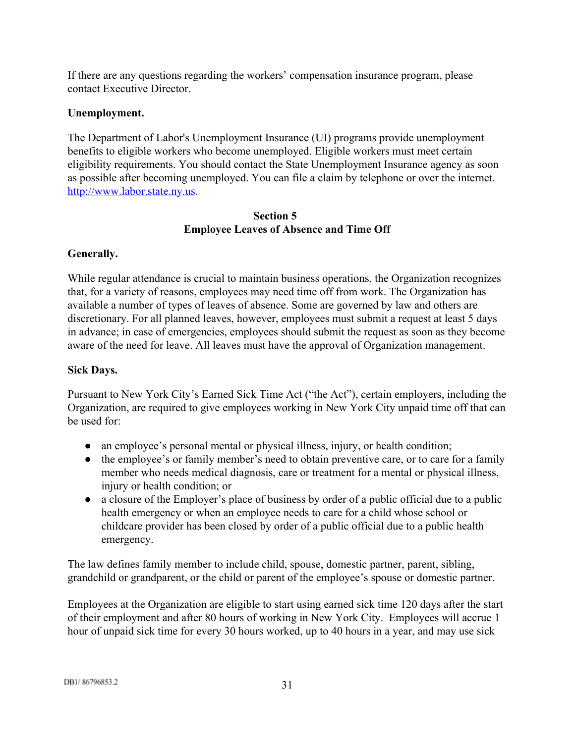If there are any questions regarding the workers' compensation insurance program, please contact Executive Director.

## <span id="page-30-0"></span>**Unemployment.**

The Department of Labor's Unemployment Insurance (UI) programs provide unemployment benefits to eligible workers who become unemployed. Eligible workers must meet certain eligibility requirements. You should contact the State Unemployment Insurance agency as soon as possible after becoming unemployed. You can file a claim by telephone or over the internet. [http://www.labor.state.ny.us.](http://www.labor.state.ny.us/)

## **Section 5 Employee Leaves of Absence and Time Off**

# <span id="page-30-2"></span><span id="page-30-1"></span>**Generally.**

While regular attendance is crucial to maintain business operations, the Organization recognizes that, for a variety of reasons, employees may need time off from work. The Organization has available a number of types of leaves of absence. Some are governed by law and others are discretionary. For all planned leaves, however, employees must submit a request at least 5 days in advance; in case of emergencies, employees should submit the request as soon as they become aware of the need for leave. All leaves must have the approval of Organization management.

## <span id="page-30-3"></span>**Sick Days.**

Pursuant to New York City's Earned Sick Time Act ("the Act"), certain employers, including the Organization, are required to give employees working in New York City unpaid time off that can be used for:

- an employee's personal mental or physical illness, injury, or health condition;
- the employee's or family member's need to obtain preventive care, or to care for a family member who needs medical diagnosis, care or treatment for a mental or physical illness, injury or health condition; or
- a closure of the Employer's place of business by order of a public official due to a public health emergency or when an employee needs to care for a child whose school or childcare provider has been closed by order of a public official due to a public health emergency.

The law defines family member to include child, spouse, domestic partner, parent, sibling, grandchild or grandparent, or the child or parent of the employee's spouse or domestic partner.

Employees at the Organization are eligible to start using earned sick time 120 days after the start of their employment and after 80 hours of working in New York City. Employees will accrue 1 hour of unpaid sick time for every 30 hours worked, up to 40 hours in a year, and may use sick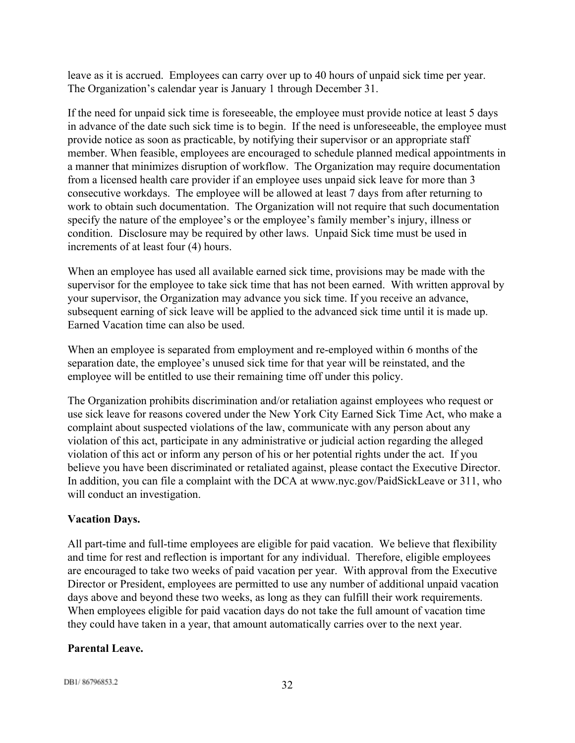leave as it is accrued. Employees can carry over up to 40 hours of unpaid sick time per year. The Organization's calendar year is January 1 through December 31.

If the need for unpaid sick time is foreseeable, the employee must provide notice at least 5 days in advance of the date such sick time is to begin. If the need is unforeseeable, the employee must provide notice as soon as practicable, by notifying their supervisor or an appropriate staff member. When feasible, employees are encouraged to schedule planned medical appointments in a manner that minimizes disruption of workflow. The Organization may require documentation from a licensed health care provider if an employee uses unpaid sick leave for more than 3 consecutive workdays. The employee will be allowed at least 7 days from after returning to work to obtain such documentation. The Organization will not require that such documentation specify the nature of the employee's or the employee's family member's injury, illness or condition. Disclosure may be required by other laws. Unpaid Sick time must be used in increments of at least four (4) hours.

When an employee has used all available earned sick time, provisions may be made with the supervisor for the employee to take sick time that has not been earned. With written approval by your supervisor, the Organization may advance you sick time. If you receive an advance, subsequent earning of sick leave will be applied to the advanced sick time until it is made up. Earned Vacation time can also be used.

When an employee is separated from employment and re-employed within 6 months of the separation date, the employee's unused sick time for that year will be reinstated, and the employee will be entitled to use their remaining time off under this policy.

The Organization prohibits discrimination and/or retaliation against employees who request or use sick leave for reasons covered under the New York City Earned Sick Time Act, who make a complaint about suspected violations of the law, communicate with any person about any violation of this act, participate in any administrative or judicial action regarding the alleged violation of this act or inform any person of his or her potential rights under the act. If you believe you have been discriminated or retaliated against, please contact the Executive Director. In addition, you can file a complaint with the DCA at www.nyc.gov/PaidSickLeave or 311, who will conduct an investigation.

## <span id="page-31-0"></span>**Vacation Days.**

All part-time and full-time employees are eligible for paid vacation. We believe that flexibility and time for rest and reflection is important for any individual. Therefore, eligible employees are encouraged to take two weeks of paid vacation per year. With approval from the Executive Director or President, employees are permitted to use any number of additional unpaid vacation days above and beyond these two weeks, as long as they can fulfill their work requirements. When employees eligible for paid vacation days do not take the full amount of vacation time they could have taken in a year, that amount automatically carries over to the next year.

## <span id="page-31-1"></span>**Parental Leave.**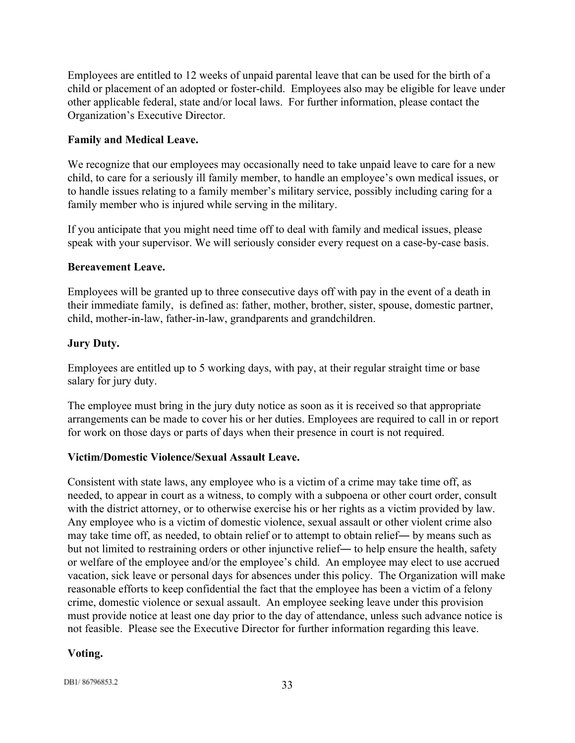Employees are entitled to 12 weeks of unpaid parental leave that can be used for the birth of a child or placement of an adopted or foster-child. Employees also may be eligible for leave under other applicable federal, state and/or local laws. For further information, please contact the Organization's Executive Director.

## <span id="page-32-0"></span>**Family and Medical Leave.**

We recognize that our employees may occasionally need to take unpaid leave to care for a new child, to care for a seriously ill family member, to handle an employee's own medical issues, or to handle issues relating to a family member's military service, possibly including caring for a family member who is injured while serving in the military.

If you anticipate that you might need time off to deal with family and medical issues, please speak with your supervisor. We will seriously consider every request on a case-by-case basis.

## <span id="page-32-1"></span>**Bereavement Leave.**

Employees will be granted up to three consecutive days off with pay in the event of a death in their immediate family, is defined as: father, mother, brother, sister, spouse, domestic partner, child, mother-in-law, father-in-law, grandparents and grandchildren.

## <span id="page-32-2"></span>**Jury Duty.**

Employees are entitled up to 5 working days, with pay, at their regular straight time or base salary for jury duty.

The employee must bring in the jury duty notice as soon as it is received so that appropriate arrangements can be made to cover his or her duties. Employees are required to call in or report for work on those days or parts of days when their presence in court is not required.

## <span id="page-32-3"></span>**Victim/Domestic Violence/Sexual Assault Leave.**

Consistent with state laws, any employee who is a victim of a crime may take time off, as needed, to appear in court as a witness, to comply with a subpoena or other court order, consult with the district attorney, or to otherwise exercise his or her rights as a victim provided by law. Any employee who is a victim of domestic violence, sexual assault or other violent crime also may take time off, as needed, to obtain relief or to attempt to obtain relief― by means such as but not limited to restraining orders or other injunctive relief― to help ensure the health, safety or welfare of the employee and/or the employee's child. An employee may elect to use accrued vacation, sick leave or personal days for absences under this policy. The Organization will make reasonable efforts to keep confidential the fact that the employee has been a victim of a felony crime, domestic violence or sexual assault. An employee seeking leave under this provision must provide notice at least one day prior to the day of attendance, unless such advance notice is not feasible. Please see the Executive Director for further information regarding this leave.

## <span id="page-32-4"></span>**Voting.**

DB1/86796853.2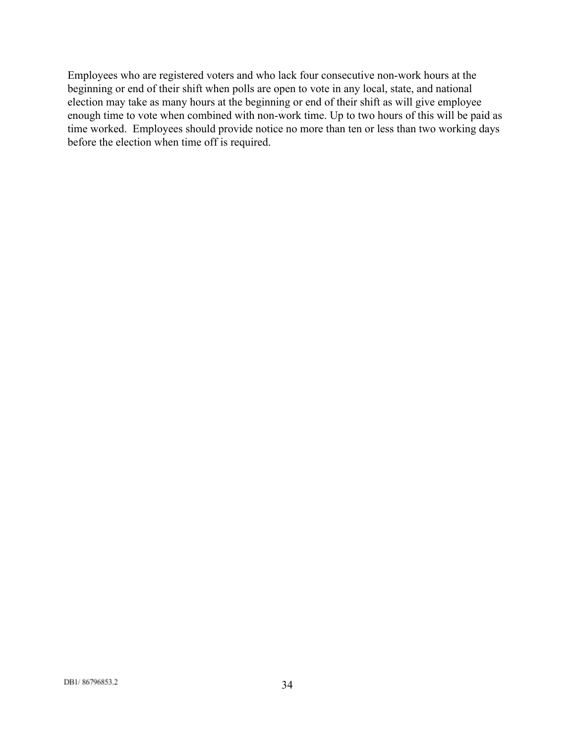Employees who are registered voters and who lack four consecutive non-work hours at the beginning or end of their shift when polls are open to vote in any local, state, and national election may take as many hours at the beginning or end of their shift as will give employee enough time to vote when combined with non-work time. Up to two hours of this will be paid as time worked. Employees should provide notice no more than ten or less than two working days before the election when time off is required.